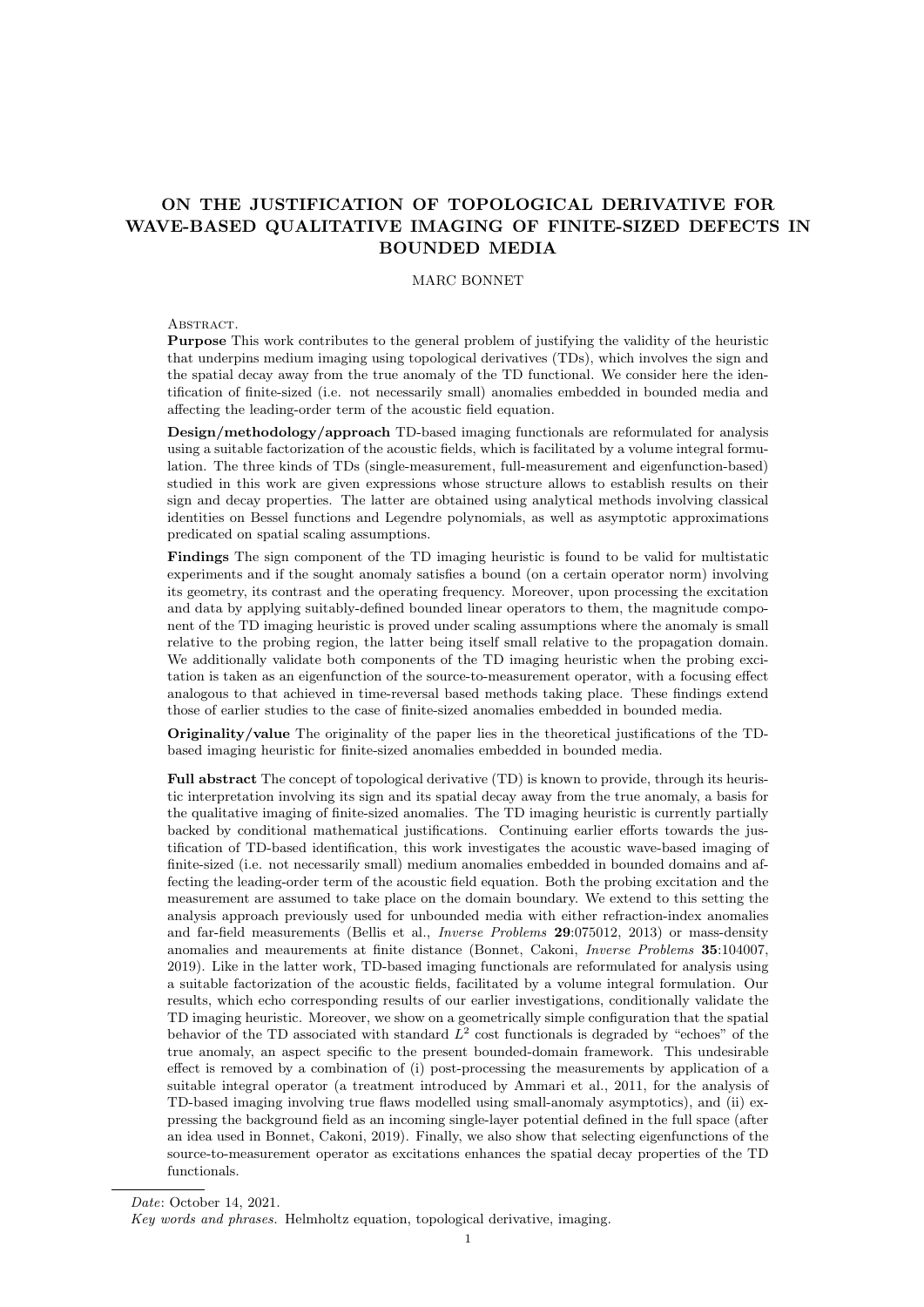# ON THE JUSTIFICATION OF TOPOLOGICAL DERIVATIVE FOR WAVE-BASED QUALITATIVE IMAGING OF FINITE-SIZED DEFECTS IN BOUNDED MEDIA

## MARC BONNET

#### ABSTRACT.

Purpose This work contributes to the general problem of justifying the validity of the heuristic that underpins medium imaging using topological derivatives (TDs), which involves the sign and the spatial decay away from the true anomaly of the TD functional. We consider here the identification of finite-sized (i.e. not necessarily small) anomalies embedded in bounded media and affecting the leading-order term of the acoustic field equation.

Design/methodology/approach TD-based imaging functionals are reformulated for analysis using a suitable factorization of the acoustic fields, which is facilitated by a volume integral formulation. The three kinds of TDs (single-measurement, full-measurement and eigenfunction-based) studied in this work are given expressions whose structure allows to establish results on their sign and decay properties. The latter are obtained using analytical methods involving classical identities on Bessel functions and Legendre polynomials, as well as asymptotic approximations predicated on spatial scaling assumptions.

Findings The sign component of the TD imaging heuristic is found to be valid for multistatic experiments and if the sought anomaly satisfies a bound (on a certain operator norm) involving its geometry, its contrast and the operating frequency. Moreover, upon processing the excitation and data by applying suitably-defined bounded linear operators to them, the magnitude component of the TD imaging heuristic is proved under scaling assumptions where the anomaly is small relative to the probing region, the latter being itself small relative to the propagation domain. We additionally validate both components of the TD imaging heuristic when the probing excitation is taken as an eigenfunction of the source-to-measurement operator, with a focusing effect analogous to that achieved in time-reversal based methods taking place. These findings extend those of earlier studies to the case of finite-sized anomalies embedded in bounded media.

Originality/value The originality of the paper lies in the theoretical justifications of the TDbased imaging heuristic for finite-sized anomalies embedded in bounded media.

Full abstract The concept of topological derivative (TD) is known to provide, through its heuristic interpretation involving its sign and its spatial decay away from the true anomaly, a basis for the qualitative imaging of finite-sized anomalies. The TD imaging heuristic is currently partially backed by conditional mathematical justifications. Continuing earlier efforts towards the justification of TD-based identification, this work investigates the acoustic wave-based imaging of finite-sized (i.e. not necessarily small) medium anomalies embedded in bounded domains and affecting the leading-order term of the acoustic field equation. Both the probing excitation and the measurement are assumed to take place on the domain boundary. We extend to this setting the analysis approach previously used for unbounded media with either refraction-index anomalies and far-field measurements (Bellis et al., Inverse Problems 29:075012, 2013) or mass-density anomalies and meaurements at finite distance (Bonnet, Cakoni, Inverse Problems 35:104007, 2019). Like in the latter work, TD-based imaging functionals are reformulated for analysis using a suitable factorization of the acoustic fields, facilitated by a volume integral formulation. Our results, which echo corresponding results of our earlier investigations, conditionally validate the TD imaging heuristic. Moreover, we show on a geometrically simple configuration that the spatial behavior of the TD associated with standard  $L^2$  cost functionals is degraded by "echoes" of the true anomaly, an aspect specific to the present bounded-domain framework. This undesirable effect is removed by a combination of (i) post-processing the measurements by application of a suitable integral operator (a treatment introduced by Ammari et al., 2011, for the analysis of TD-based imaging involving true flaws modelled using small-anomaly asymptotics), and (ii) expressing the background field as an incoming single-layer potential defined in the full space (after an idea used in Bonnet, Cakoni, 2019). Finally, we also show that selecting eigenfunctions of the source-to-measurement operator as excitations enhances the spatial decay properties of the TD functionals.

Key words and phrases. Helmholtz equation, topological derivative, imaging.

Date: October 14, 2021.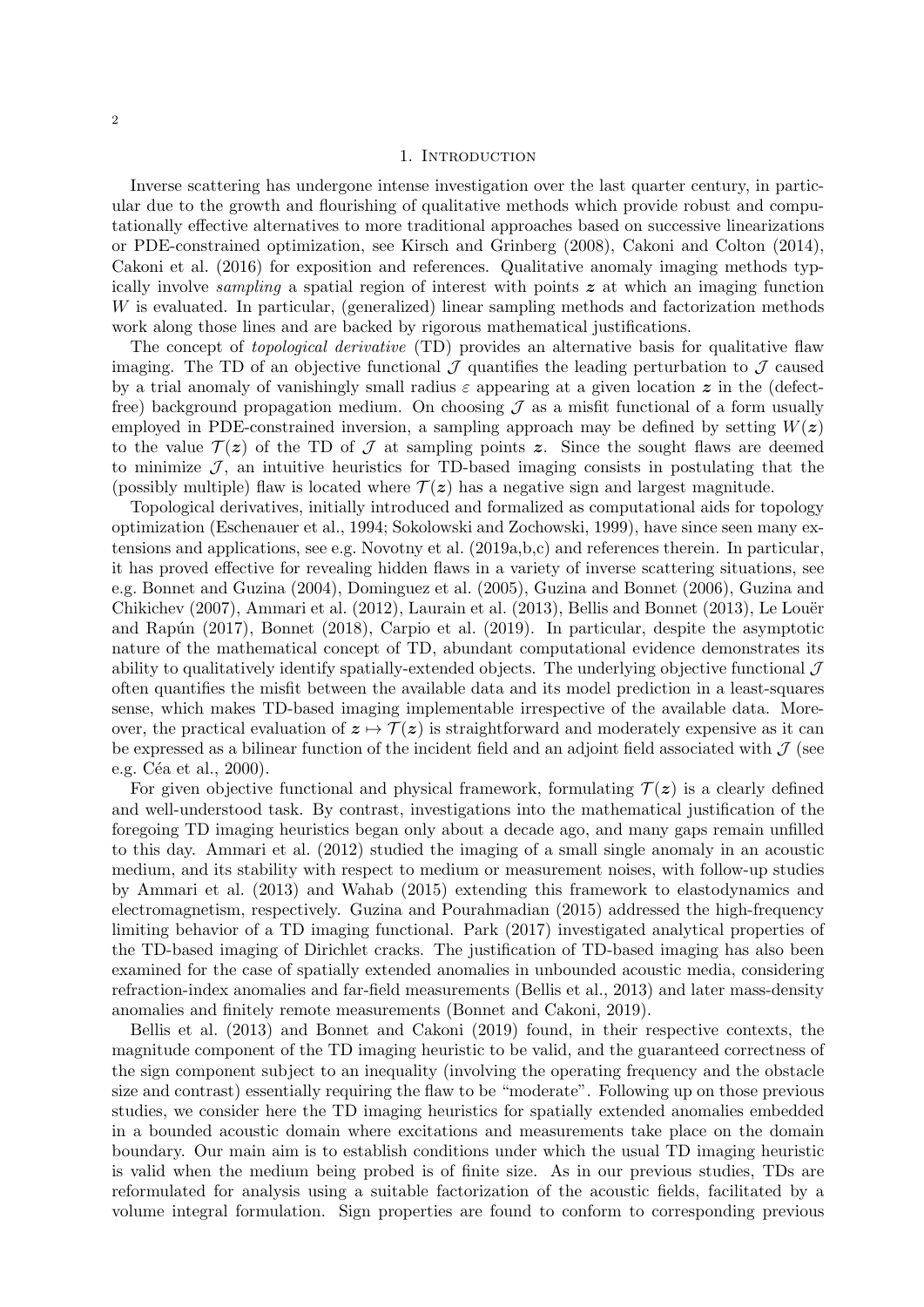### 1. INTRODUCTION

Inverse scattering has undergone intense investigation over the last quarter century, in particular due to the growth and flourishing of qualitative methods which provide robust and computationally effective alternatives to more traditional approaches based on successive linearizations or PDE-constrained optimization, see Kirsch and Grinberg (2008), Cakoni and Colton (2014), Cakoni et al. (2016) for exposition and references. Qualitative anomaly imaging methods typically involve *sampling* a spatial region of interest with points  $z$  at which an imaging function W is evaluated. In particular, (generalized) linear sampling methods and factorization methods work along those lines and are backed by rigorous mathematical justifications.

The concept of *topological derivative* (TD) provides an alternative basis for qualitative flaw imaging. The TD of an objective functional  $\mathcal J$  quantifies the leading perturbation to  $\mathcal J$  caused by a trial anomaly of vanishingly small radius  $\varepsilon$  appearing at a given location  $\boldsymbol{z}$  in the (defectfree) background propagation medium. On choosing  $\mathcal J$  as a misfit functional of a form usually employed in PDE-constrained inversion, a sampling approach may be defined by setting  $W(z)$ to the value  $\mathcal{T}(z)$  of the TD of  $\mathcal J$  at sampling points z. Since the sought flaws are deemed to minimize  $\mathcal{J}$ , an intuitive heuristics for TD-based imaging consists in postulating that the (possibly multiple) flaw is located where  $\mathcal{T}(z)$  has a negative sign and largest magnitude.

Topological derivatives, initially introduced and formalized as computational aids for topology optimization (Eschenauer et al., 1994; Sokolowski and Zochowski, 1999), have since seen many extensions and applications, see e.g. Novotny et al. (2019a,b,c) and references therein. In particular, it has proved effective for revealing hidden flaws in a variety of inverse scattering situations, see e.g. Bonnet and Guzina (2004), Dominguez et al. (2005), Guzina and Bonnet (2006), Guzina and Chikichev (2007), Ammari et al. (2012), Laurain et al. (2013), Bellis and Bonnet (2013), Le Louër and Rapún (2017), Bonnet (2018), Carpio et al. (2019). In particular, despite the asymptotic nature of the mathematical concept of TD, abundant computational evidence demonstrates its ability to qualitatively identify spatially-extended objects. The underlying objective functional  $\mathcal J$ often quantifies the misfit between the available data and its model prediction in a least-squares sense, which makes TD-based imaging implementable irrespective of the available data. Moreover, the practical evaluation of  $z \mapsto \mathcal{T}(z)$  is straightforward and moderately expensive as it can be expressed as a bilinear function of the incident field and an adjoint field associated with  $\mathcal{J}$  (see e.g. Céa et al.,  $2000$ ).

For given objective functional and physical framework, formulating  $\mathcal{T}(z)$  is a clearly defined and well-understood task. By contrast, investigations into the mathematical justification of the foregoing TD imaging heuristics began only about a decade ago, and many gaps remain unfilled to this day. Ammari et al. (2012) studied the imaging of a small single anomaly in an acoustic medium, and its stability with respect to medium or measurement noises, with follow-up studies by Ammari et al. (2013) and Wahab (2015) extending this framework to elastodynamics and electromagnetism, respectively. Guzina and Pourahmadian (2015) addressed the high-frequency limiting behavior of a TD imaging functional. Park (2017) investigated analytical properties of the TD-based imaging of Dirichlet cracks. The justification of TD-based imaging has also been examined for the case of spatially extended anomalies in unbounded acoustic media, considering refraction-index anomalies and far-field measurements (Bellis et al., 2013) and later mass-density anomalies and finitely remote measurements (Bonnet and Cakoni, 2019).

Bellis et al. (2013) and Bonnet and Cakoni (2019) found, in their respective contexts, the magnitude component of the TD imaging heuristic to be valid, and the guaranteed correctness of the sign component subject to an inequality (involving the operating frequency and the obstacle size and contrast) essentially requiring the flaw to be "moderate". Following up on those previous studies, we consider here the TD imaging heuristics for spatially extended anomalies embedded in a bounded acoustic domain where excitations and measurements take place on the domain boundary. Our main aim is to establish conditions under which the usual TD imaging heuristic is valid when the medium being probed is of finite size. As in our previous studies, TDs are reformulated for analysis using a suitable factorization of the acoustic fields, facilitated by a volume integral formulation. Sign properties are found to conform to corresponding previous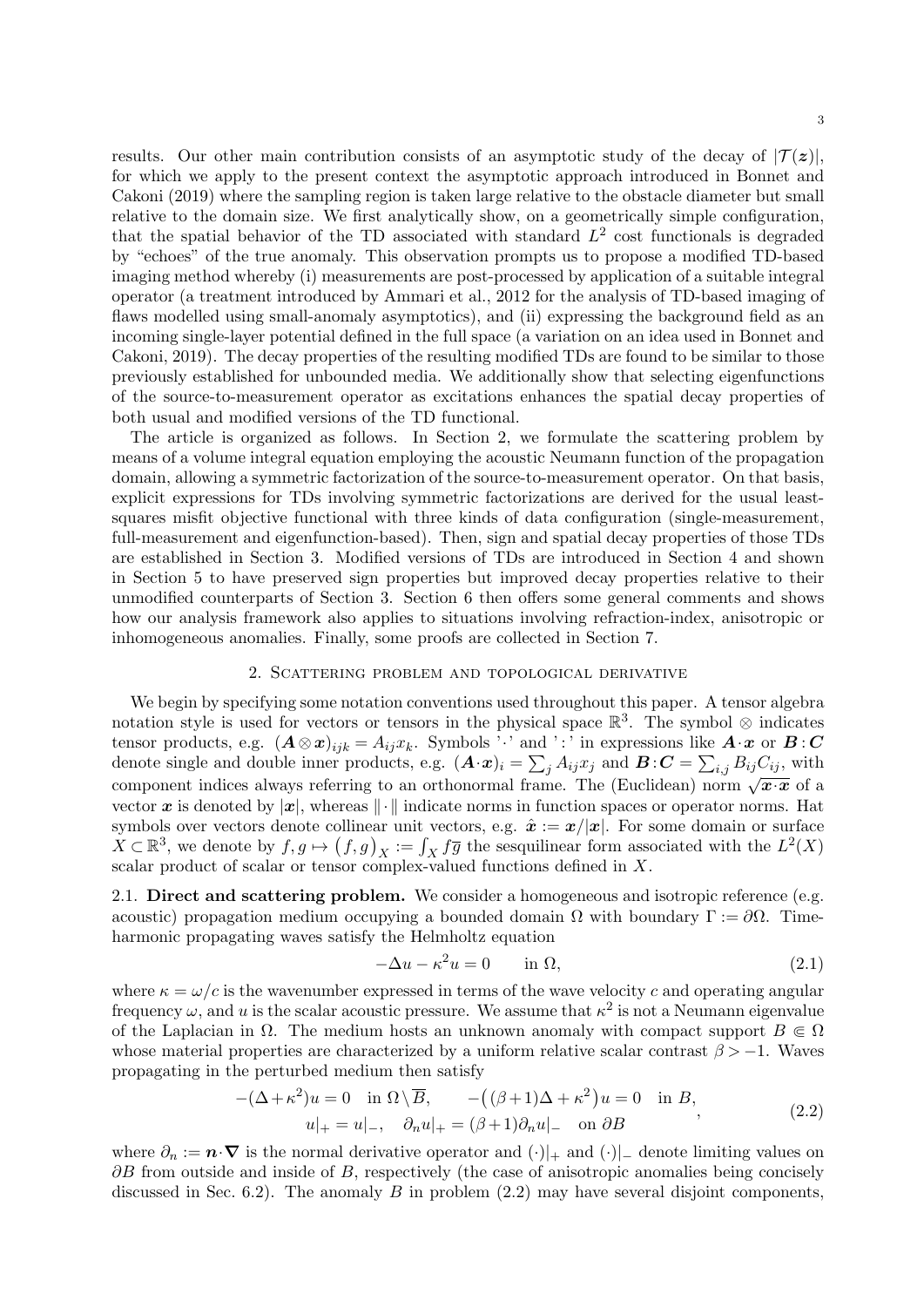results. Our other main contribution consists of an asymptotic study of the decay of  $|\mathcal{T}(z)|$ , for which we apply to the present context the asymptotic approach introduced in Bonnet and Cakoni (2019) where the sampling region is taken large relative to the obstacle diameter but small relative to the domain size. We first analytically show, on a geometrically simple configuration, that the spatial behavior of the TD associated with standard  $L^2$  cost functionals is degraded by "echoes" of the true anomaly. This observation prompts us to propose a modified TD-based imaging method whereby (i) measurements are post-processed by application of a suitable integral operator (a treatment introduced by Ammari et al., 2012 for the analysis of TD-based imaging of flaws modelled using small-anomaly asymptotics), and (ii) expressing the background field as an incoming single-layer potential defined in the full space (a variation on an idea used in Bonnet and Cakoni, 2019). The decay properties of the resulting modified TDs are found to be similar to those previously established for unbounded media. We additionally show that selecting eigenfunctions of the source-to-measurement operator as excitations enhances the spatial decay properties of both usual and modified versions of the TD functional.

The article is organized as follows. In Section 2, we formulate the scattering problem by means of a volume integral equation employing the acoustic Neumann function of the propagation domain, allowing a symmetric factorization of the source-to-measurement operator. On that basis, explicit expressions for TDs involving symmetric factorizations are derived for the usual leastsquares misfit objective functional with three kinds of data configuration (single-measurement, full-measurement and eigenfunction-based). Then, sign and spatial decay properties of those TDs are established in Section 3. Modified versions of TDs are introduced in Section 4 and shown in Section 5 to have preserved sign properties but improved decay properties relative to their unmodified counterparts of Section 3. Section 6 then offers some general comments and shows how our analysis framework also applies to situations involving refraction-index, anisotropic or inhomogeneous anomalies. Finally, some proofs are collected in Section 7.

### 2. Scattering problem and topological derivative

We begin by specifying some notation conventions used throughout this paper. A tensor algebra notation style is used for vectors or tensors in the physical space  $\mathbb{R}^3$ . The symbol ⊗ indicates tensor products, e.g.  $(A \otimes x)_{ijk} = A_{ij}x_k$ . Symbols '·' and ':' in expressions like  $A \cdot x$  or  $B : C$ denote single and double inner products, e.g.  $(\mathbf{A} \cdot \mathbf{x})_i = \sum_j A_{ij} x_j$  and  $\mathbf{B} \cdot \mathbf{C} = \sum_{i,j} B_{ij} C_{ij}$ , with component indices always referring to an orthonormal frame. The (Euclidean) norm  $\sqrt{x \cdot x}$  of a vector x is denoted by  $|x|$ , whereas  $\|\cdot\|$  indicate norms in function spaces or operator norms. Hat symbols over vectors denote collinear unit vectors, e.g.  $\hat{x} := x/|x|$ . For some domain or surface  $X \subset \mathbb{R}^3$ , we denote by  $f, g \mapsto (f, g)_X := \int_X f \overline{g}$  the sesquilinear form associated with the  $L^2(X)$ scalar product of scalar or tensor complex-valued functions defined in X.

2.1. Direct and scattering problem. We consider a homogeneous and isotropic reference (e.g. acoustic) propagation medium occupying a bounded domain  $\Omega$  with boundary  $\Gamma := \partial \Omega$ . Timeharmonic propagating waves satisfy the Helmholtz equation

$$
-\Delta u - \kappa^2 u = 0 \qquad \text{in } \Omega,\tag{2.1}
$$

where  $\kappa = \omega/c$  is the wavenumber expressed in terms of the wave velocity c and operating angular frequency  $\omega$ , and u is the scalar acoustic pressure. We assume that  $\kappa^2$  is not a Neumann eigenvalue of the Laplacian in  $\Omega$ . The medium hosts an unknown anomaly with compact support  $B \subseteq \Omega$ whose material properties are characterized by a uniform relative scalar contrast  $\beta > -1$ . Waves propagating in the perturbed medium then satisfy

$$
-(\Delta + \kappa^2)u = 0 \quad \text{in } \Omega \setminus \overline{B}, \qquad -((\beta + 1)\Delta + \kappa^2)u = 0 \quad \text{in } B,
$$
  

$$
u|_{+} = u|_{-}, \quad \partial_n u|_{+} = (\beta + 1)\partial_n u|_{-} \quad \text{on } \partial B
$$
 (2.2)

where  $\partial_n := \mathbf{n} \cdot \nabla$  is the normal derivative operator and  $(\cdot)|_+$  and  $(\cdot)|_-$  denote limiting values on  $\partial B$  from outside and inside of B, respectively (the case of anisotropic anomalies being concisely discussed in Sec. 6.2). The anomaly B in problem  $(2.2)$  may have several disjoint components,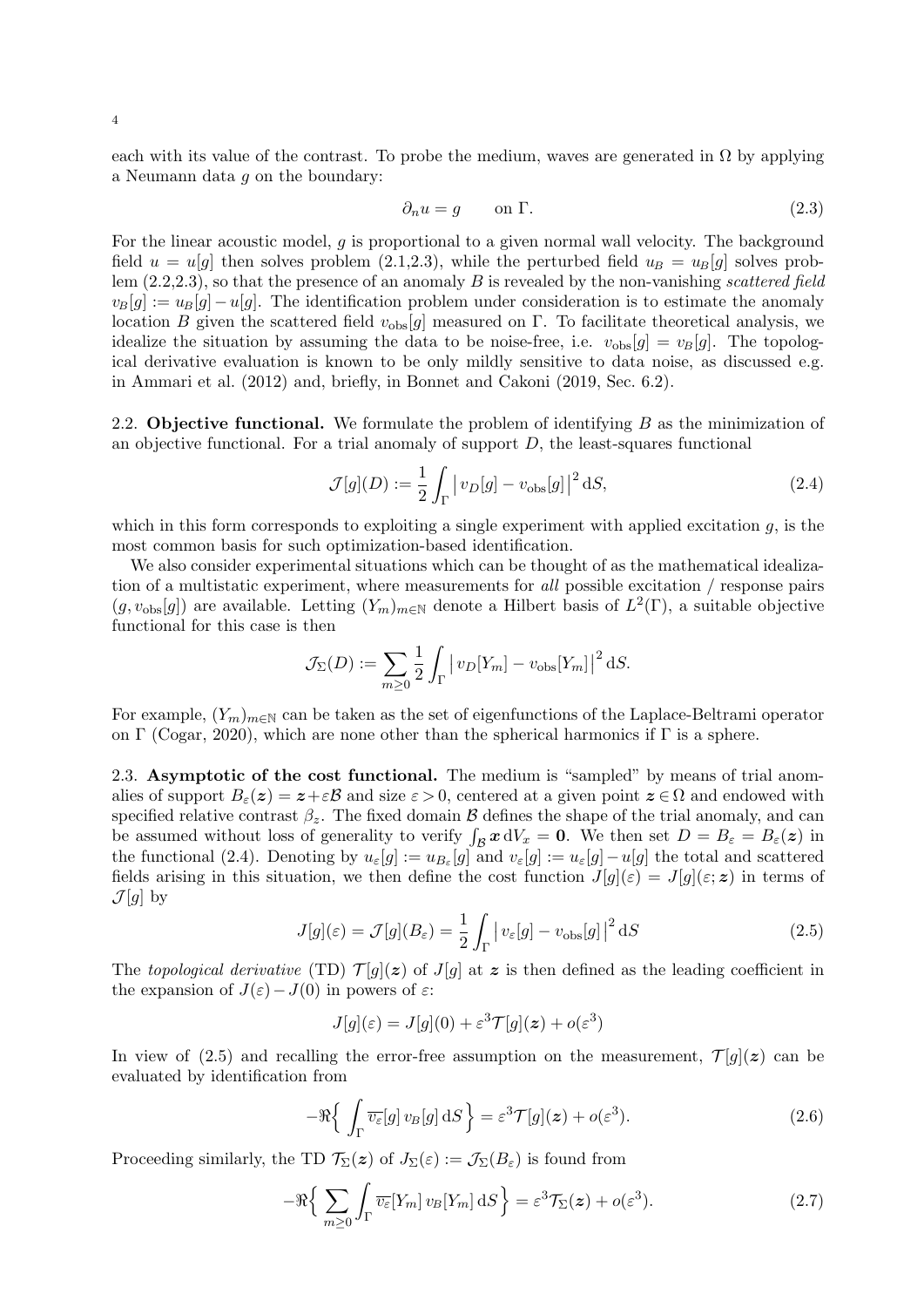4

each with its value of the contrast. To probe the medium, waves are generated in  $\Omega$  by applying a Neumann data g on the boundary:

$$
\partial_n u = g \qquad \text{on } \Gamma. \tag{2.3}
$$

For the linear acoustic model,  $g$  is proportional to a given normal wall velocity. The background field  $u = u[g]$  then solves problem (2.1,2.3), while the perturbed field  $u_B = u_B[g]$  solves problem  $(2.2,2.3)$ , so that the presence of an anomaly B is revealed by the non-vanishing scattered field  $v_B[g] := u_B[g] - u[g]$ . The identification problem under consideration is to estimate the anomaly location B given the scattered field  $v_{obs}[g]$  measured on Γ. To facilitate theoretical analysis, we idealize the situation by assuming the data to be noise-free, i.e.  $v_{\text{obs}}[g] = v_B[g]$ . The topological derivative evaluation is known to be only mildly sensitive to data noise, as discussed e.g. in Ammari et al. (2012) and, briefly, in Bonnet and Cakoni (2019, Sec. 6.2).

2.2. **Objective functional.** We formulate the problem of identifying B as the minimization of an objective functional. For a trial anomaly of support  $D$ , the least-squares functional

$$
\mathcal{J}[g](D) := \frac{1}{2} \int_{\Gamma} \left| v_D[g] - v_{\text{obs}}[g] \right|^2 \, \mathrm{d}S,\tag{2.4}
$$

which in this form corresponds to exploiting a single experiment with applied excitation  $q$ , is the most common basis for such optimization-based identification.

We also consider experimental situations which can be thought of as the mathematical idealization of a multistatic experiment, where measurements for all possible excitation / response pairs  $(g, v_{obs}[g])$  are available. Letting  $(Y_m)_{m\in\mathbb{N}}$  denote a Hilbert basis of  $L^2(\Gamma)$ , a suitable objective functional for this case is then

$$
\mathcal{J}_{\Sigma}(D) := \sum_{m \geq 0} \frac{1}{2} \int_{\Gamma} \left| v_D[Y_m] - v_{\text{obs}}[Y_m] \right|^2 \, \mathrm{d}S.
$$

For example,  $(Y_m)_{m\in\mathbb{N}}$  can be taken as the set of eigenfunctions of the Laplace-Beltrami operator on Γ (Cogar, 2020), which are none other than the spherical harmonics if Γ is a sphere.

2.3. Asymptotic of the cost functional. The medium is "sampled" by means of trial anomalies of support  $B_{\varepsilon}(z) = z + \varepsilon \mathcal{B}$  and size  $\varepsilon > 0$ , centered at a given point  $z \in \Omega$  and endowed with specified relative contrast  $\beta_z$ . The fixed domain B defines the shape of the trial anomaly, and can be assumed without loss of generality to verify  $\int_{\mathcal{B}} x \, dV_x = 0$ . We then set  $D = B_{\varepsilon} = B_{\varepsilon}(z)$  in the functional (2.4). Denoting by  $u_{\varepsilon}[g] := u_{B_{\varepsilon}}[g]$  and  $v_{\varepsilon}[g] := u_{\varepsilon}[g] - u[g]$  the total and scattered fields arising in this situation, we then define the cost function  $J[g](\varepsilon) = J[g](\varepsilon; z)$  in terms of  $\mathcal{J}[g]$  by

$$
J[g](\varepsilon) = \mathcal{J}[g](B_{\varepsilon}) = \frac{1}{2} \int_{\Gamma} |v_{\varepsilon}[g] - v_{\text{obs}}[g]|^2 \, \mathrm{d}S \tag{2.5}
$$

The topological derivative (TD)  $\mathcal{T}[q](\boldsymbol{z})$  of  $J[q]$  at  $\boldsymbol{z}$  is then defined as the leading coefficient in the expansion of  $J(\varepsilon)-J(0)$  in powers of  $\varepsilon$ :

$$
J[g](\varepsilon) = J[g](0) + \varepsilon^3 \mathcal{T}[g](\mathbf{z}) + o(\varepsilon^3)
$$

In view of (2.5) and recalling the error-free assumption on the measurement,  $\mathcal{T}[g](z)$  can be evaluated by identification from

$$
-\Re\left\{\int_{\Gamma} \overline{v_{\varepsilon}}[g] v_B[g] \,dS\right\} = \varepsilon^3 \mathcal{T}[g](\boldsymbol{z}) + o(\varepsilon^3). \tag{2.6}
$$

Proceeding similarly, the TD  $\mathcal{T}_{\Sigma}(\boldsymbol{z})$  of  $J_{\Sigma}(\varepsilon) := \mathcal{J}_{\Sigma}(B_{\varepsilon})$  is found from

$$
-\Re\Big\{\sum_{m\geq 0}\int_{\Gamma}\overline{v_{\varepsilon}}[Y_m]v_B[Y_m]\,\mathrm{d}S\Big\} = \varepsilon^3 \mathcal{T}_{\Sigma}(\boldsymbol{z}) + o(\varepsilon^3). \tag{2.7}
$$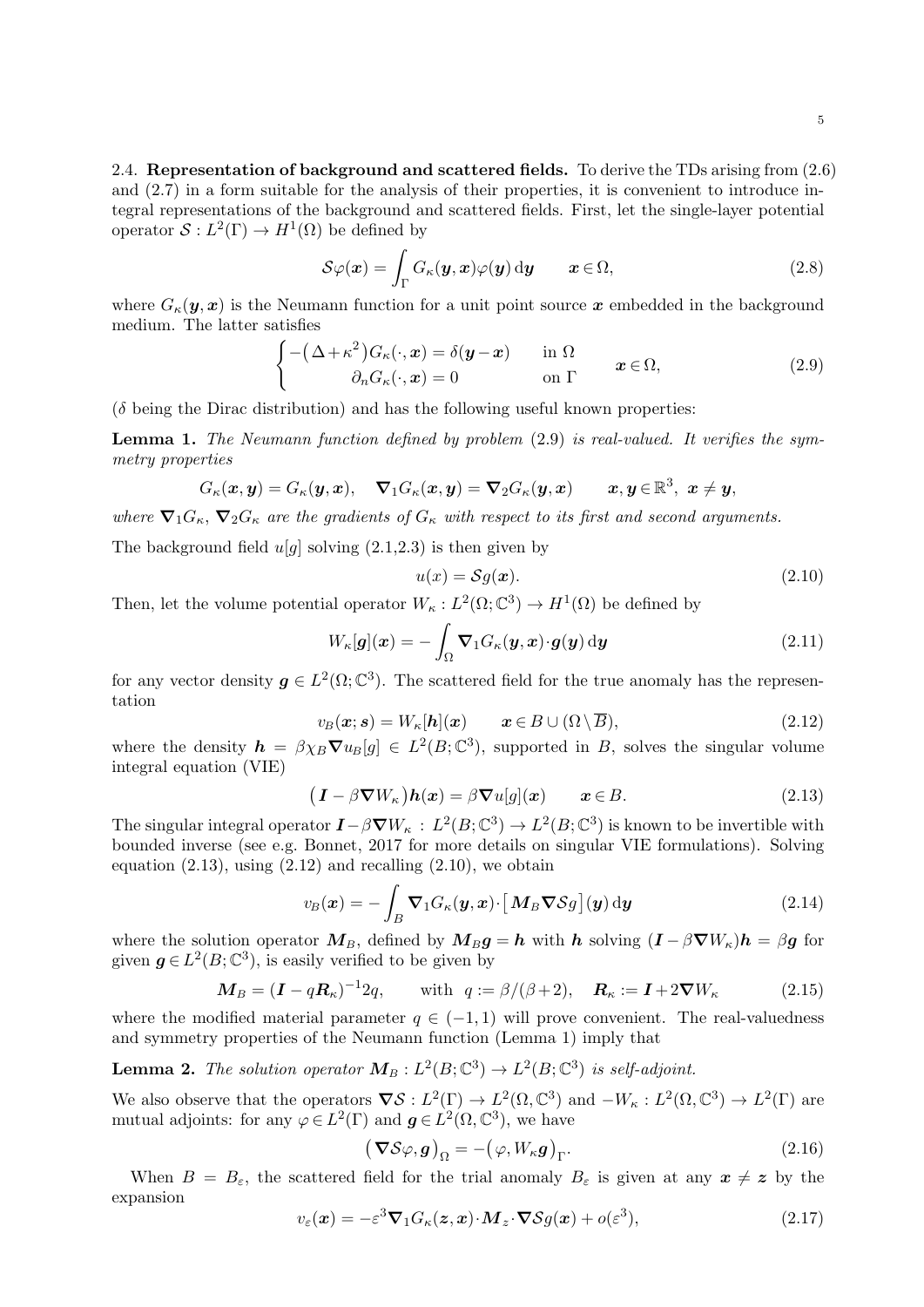5

2.4. Representation of background and scattered fields. To derive the TDs arising from  $(2.6)$ and (2.7) in a form suitable for the analysis of their properties, it is convenient to introduce integral representations of the background and scattered fields. First, let the single-layer potential operator  $S: L^2(\Gamma) \to H^1(\Omega)$  be defined by

$$
\mathcal{S}\varphi(\boldsymbol{x}) = \int_{\Gamma} G_{\kappa}(\boldsymbol{y}, \boldsymbol{x}) \varphi(\boldsymbol{y}) \, \mathrm{d}\boldsymbol{y} \qquad \boldsymbol{x} \in \Omega, \tag{2.8}
$$

where  $G_{\kappa}(\mathbf{y},\mathbf{x})$  is the Neumann function for a unit point source x embedded in the background medium. The latter satisfies

$$
\begin{cases}\n-(\Delta + \kappa^2)G_{\kappa}(\cdot, \mathbf{x}) = \delta(\mathbf{y} - \mathbf{x}) & \text{in } \Omega \\
\partial_n G_{\kappa}(\cdot, \mathbf{x}) = 0 & \text{on } \Gamma\n\end{cases}
$$
\n(2.9)

 $(\delta$  being the Dirac distribution) and has the following useful known properties:

Lemma 1. The Neumann function defined by problem (2.9) is real-valued. It verifies the symmetry properties

$$
G_{\kappa}(\boldsymbol{x},\boldsymbol{y})=G_{\kappa}(\boldsymbol{y},\boldsymbol{x}),\quad \boldsymbol{\nabla}_{1}G_{\kappa}(\boldsymbol{x},\boldsymbol{y})=\boldsymbol{\nabla}_{2}G_{\kappa}(\boldsymbol{y},\boldsymbol{x})\qquad \boldsymbol{x},\boldsymbol{y}\in\mathbb{R}^{3},\ \boldsymbol{x}\neq\boldsymbol{y},
$$

where  $\nabla_1 G_{\kappa}$ ,  $\nabla_2 G_{\kappa}$  are the gradients of  $G_{\kappa}$  with respect to its first and second arguments.

The background field  $u[q]$  solving  $(2.1,2.3)$  is then given by

$$
u(x) = Sg(x). \tag{2.10}
$$

Then, let the volume potential operator  $W_{\kappa}: L^2(\Omega; \mathbb{C}^3) \to H^1(\Omega)$  be defined by

$$
W_{\kappa}[\boldsymbol{g}](\boldsymbol{x}) = -\int_{\Omega} \boldsymbol{\nabla}_1 G_{\kappa}(\boldsymbol{y}, \boldsymbol{x}) \cdot \boldsymbol{g}(\boldsymbol{y}) \, \mathrm{d}\boldsymbol{y}
$$
\n(2.11)

for any vector density  $g \in L^2(\Omega; \mathbb{C}^3)$ . The scattered field for the true anomaly has the representation

$$
v_B(\mathbf{x}; \mathbf{s}) = W_{\kappa}[\mathbf{h}](\mathbf{x}) \qquad \mathbf{x} \in B \cup (\Omega \setminus \overline{B}), \tag{2.12}
$$

where the density  $h = \beta \chi_B \nabla u_B[g] \in L^2(B; \mathbb{C}^3)$ , supported in B, solves the singular volume integral equation (VIE)

$$
(\boldsymbol{I} - \beta \boldsymbol{\nabla} W_{\kappa}) \boldsymbol{h}(\boldsymbol{x}) = \beta \boldsymbol{\nabla} u[g](\boldsymbol{x}) \qquad \boldsymbol{x} \in B. \tag{2.13}
$$

The singular integral operator  $I - \beta \nabla W_{\kappa} : L^2(B; \mathbb{C}^3) \to L^2(B; \mathbb{C}^3)$  is known to be invertible with bounded inverse (see e.g. Bonnet, 2017 for more details on singular VIE formulations). Solving equation  $(2.13)$ , using  $(2.12)$  and recalling  $(2.10)$ , we obtain

$$
v_B(\boldsymbol{x}) = -\int_B \boldsymbol{\nabla}_1 G_{\kappa}(\boldsymbol{y}, \boldsymbol{x}) \cdot \left[ \boldsymbol{M}_B \boldsymbol{\nabla} \mathcal{S} g \right](\boldsymbol{y}) \, \mathrm{d}\boldsymbol{y} \tag{2.14}
$$

where the solution operator  $M_B$ , defined by  $M_B g = h$  with h solving  $(I - \beta \nabla W_{\kappa})h = \beta g$  for given  $g \in L^2(B; \mathbb{C}^3)$ , is easily verified to be given by

$$
\mathbf{M}_B = (\mathbf{I} - q\mathbf{R}_{\kappa})^{-1} 2q, \quad \text{with } q := \beta/(\beta + 2), \quad \mathbf{R}_{\kappa} := \mathbf{I} + 2\nabla W_{\kappa} \tag{2.15}
$$

where the modified material parameter  $q \in (-1, 1)$  will prove convenient. The real-valuedness and symmetry properties of the Neumann function (Lemma 1) imply that

**Lemma 2.** The solution operator  $M_B: L^2(B; \mathbb{C}^3) \to L^2(B; \mathbb{C}^3)$  is self-adjoint.

We also observe that the operators  $\nabla S : L^2(\Gamma) \to L^2(\Omega, \mathbb{C}^3)$  and  $-W_{\kappa} : L^2(\Omega, \mathbb{C}^3) \to L^2(\Gamma)$  are mutual adjoints: for any  $\varphi \in L^2(\Gamma)$  and  $g \in L^2(\Omega, \mathbb{C}^3)$ , we have

$$
(\boldsymbol{\nabla} \mathcal{S}\varphi, \boldsymbol{g})_{\Omega} = -(\varphi, W_{\kappa}\boldsymbol{g})_{\Gamma}.
$$
 (2.16)

When  $B = B_{\varepsilon}$ , the scattered field for the trial anomaly  $B_{\varepsilon}$  is given at any  $x \neq z$  by the expansion

$$
v_{\varepsilon}(\boldsymbol{x}) = -\varepsilon^3 \boldsymbol{\nabla}_1 G_{\kappa}(\boldsymbol{z}, \boldsymbol{x}) \cdot \boldsymbol{M}_z \cdot \boldsymbol{\nabla} S g(\boldsymbol{x}) + o(\varepsilon^3), \tag{2.17}
$$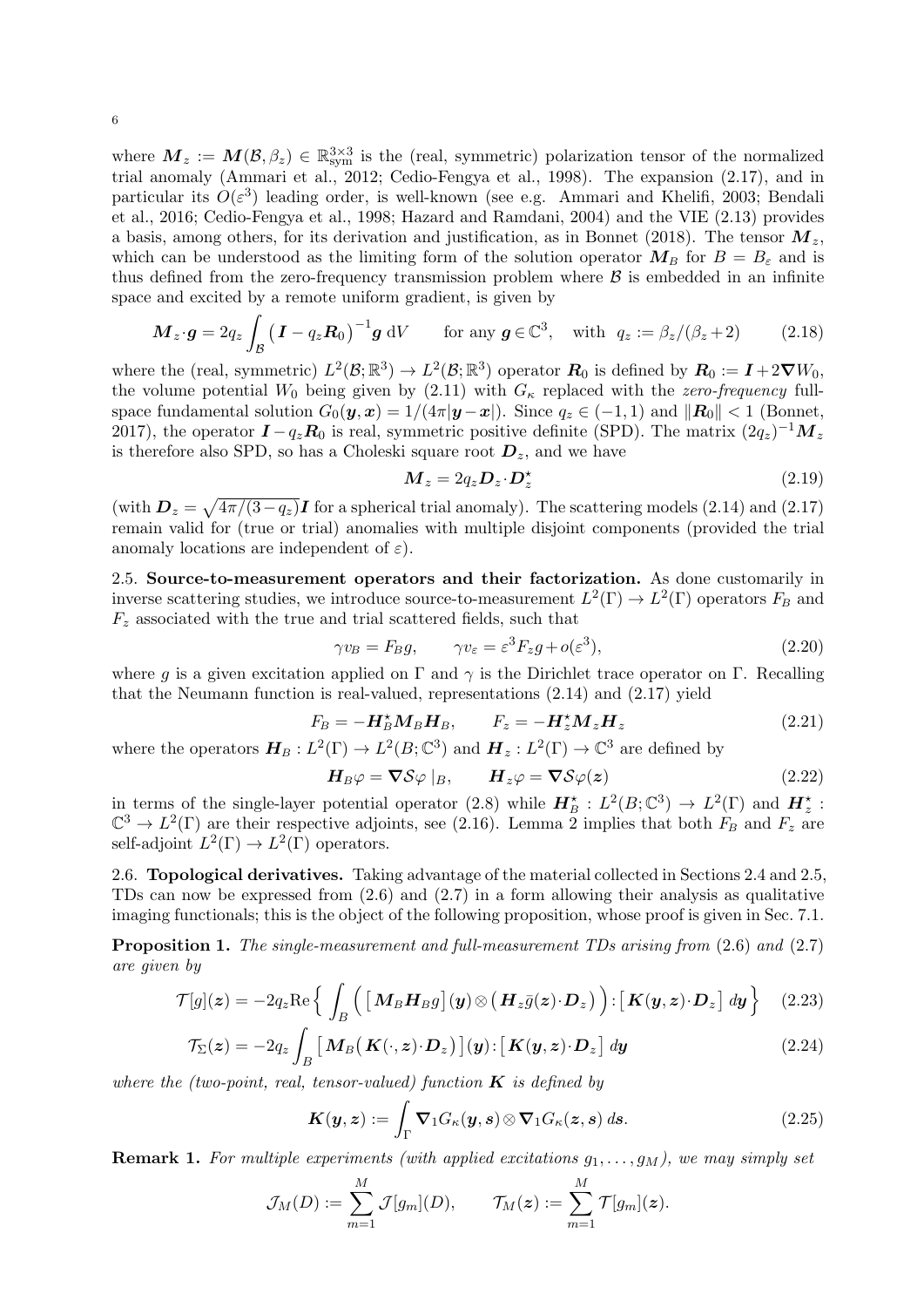where  $M_z := M(\mathcal{B}, \beta_z) \in \mathbb{R}^{3\times 3}_{sym}$  is the (real, symmetric) polarization tensor of the normalized trial anomaly (Ammari et al., 2012; Cedio-Fengya et al., 1998). The expansion (2.17), and in particular its  $O(\varepsilon^3)$  leading order, is well-known (see e.g. Ammari and Khelifi, 2003; Bendali et al., 2016; Cedio-Fengya et al., 1998; Hazard and Ramdani, 2004) and the VIE (2.13) provides a basis, among others, for its derivation and justification, as in Bonnet (2018). The tensor  $M_z$ , which can be understood as the limiting form of the solution operator  $M_B$  for  $B = B_{\varepsilon}$  and is thus defined from the zero-frequency transmission problem where  $\beta$  is embedded in an infinite space and excited by a remote uniform gradient, is given by

$$
\boldsymbol{M}_z \cdot \boldsymbol{g} = 2q_z \int_{\mathcal{B}} \left( \boldsymbol{I} - q_z \boldsymbol{R}_0 \right)^{-1} \boldsymbol{g} \, \mathrm{d}V \qquad \text{for any } \boldsymbol{g} \in \mathbb{C}^3, \quad \text{with } q_z := \beta_z / (\beta_z + 2) \tag{2.18}
$$

where the (real, symmetric)  $L^2(\mathcal{B};\mathbb{R}^3) \to L^2(\mathcal{B};\mathbb{R}^3)$  operator  $R_0$  is defined by  $R_0 := I + 2\nabla W_0$ , the volume potential  $W_0$  being given by  $(2.11)$  with  $G_{\kappa}$  replaced with the zero-frequency fullspace fundamental solution  $G_0(\mathbf{y}, \mathbf{x}) = 1/(4\pi |\mathbf{y}-\mathbf{x}|)$ . Since  $q_z \in (-1, 1)$  and  $||\mathbf{R}_0|| < 1$  (Bonnet, 2017), the operator  $I - q_z R_0$  is real, symmetric positive definite (SPD). The matrix  $(2q_z)^{-1} M_z$ is therefore also SPD, so has a Choleski square root  $D_z$ , and we have

$$
\boldsymbol{M}_z = 2q_z \boldsymbol{D}_z \cdot \boldsymbol{D}_z^{\star} \tag{2.19}
$$

(with  $D_z = \sqrt{4\pi/(3-q_z)}I$  for a spherical trial anomaly). The scattering models (2.14) and (2.17) remain valid for (true or trial) anomalies with multiple disjoint components (provided the trial anomaly locations are independent of  $\varepsilon$ ).

2.5. Source-to-measurement operators and their factorization. As done customarily in inverse scattering studies, we introduce source-to-measurement  $L^2(\Gamma) \to L^2(\Gamma)$  operators  $F_B$  and  $F<sub>z</sub>$  associated with the true and trial scattered fields, such that

$$
\gamma v_B = F_B g, \qquad \gamma v_\varepsilon = \varepsilon^3 F_z g + o(\varepsilon^3), \tag{2.20}
$$

where q is a given excitation applied on  $\Gamma$  and  $\gamma$  is the Dirichlet trace operator on  $\Gamma$ . Recalling that the Neumann function is real-valued, representations  $(2.14)$  and  $(2.17)$  yield

$$
F_B = -\boldsymbol{H}_B^* \boldsymbol{M}_B \boldsymbol{H}_B, \qquad F_z = -\boldsymbol{H}_z^* \boldsymbol{M}_z \boldsymbol{H}_z \tag{2.21}
$$

where the operators  $H_B: L^2(\Gamma) \to L^2(B; \mathbb{C}^3)$  and  $H_z: L^2(\Gamma) \to \mathbb{C}^3$  are defined by

$$
\boldsymbol{H}_{B}\varphi = \boldsymbol{\nabla}\mathcal{S}\varphi\mid_{B}, \qquad \boldsymbol{H}_{z}\varphi = \boldsymbol{\nabla}\mathcal{S}\varphi(\boldsymbol{z}) \tag{2.22}
$$

in terms of the single-layer potential operator (2.8) while  $H_B^{\star} : L^2(B; \mathbb{C}^3) \to L^2(\Gamma)$  and  $H_z^{\star}$ :  $\mathbb{C}^3 \to L^2(\Gamma)$  are their respective adjoints, see (2.16). Lemma 2 implies that both  $F_B$  and  $F_z$  are self-adjoint  $L^2(\Gamma) \to L^2(\Gamma)$  operators.

2.6. Topological derivatives. Taking advantage of the material collected in Sections 2.4 and 2.5, TDs can now be expressed from (2.6) and (2.7) in a form allowing their analysis as qualitative imaging functionals; this is the object of the following proposition, whose proof is given in Sec. 7.1.

Proposition 1. The single-measurement and full-measurement TDs arising from (2.6) and (2.7) are given by

$$
\mathcal{T}[g](\boldsymbol{z}) = -2q_z \text{Re} \left\{ \int_B \left( \left[ \boldsymbol{M}_B \boldsymbol{H}_B g \right] (\boldsymbol{y}) \otimes \left( \boldsymbol{H}_z \bar{g}(\boldsymbol{z}) \cdot \boldsymbol{D}_z \right) \right) : \left[ \boldsymbol{K} (\boldsymbol{y}, \boldsymbol{z}) \cdot \boldsymbol{D}_z \right] d\boldsymbol{y} \right\} \tag{2.23}
$$

$$
\mathcal{T}_{\Sigma}(z) = -2q_z \int_B \left[ \mathbf{M}_B \big( \mathbf{K}(\cdot, z) \cdot \mathbf{D}_z \big) \right] (\mathbf{y}) \cdot \left[ \mathbf{K}(\mathbf{y}, z) \cdot \mathbf{D}_z \right] d\mathbf{y}
$$
\n(2.24)

where the (two-point, real, tensor-valued) function  $\boldsymbol{K}$  is defined by

$$
\boldsymbol{K}(\boldsymbol{y},\boldsymbol{z}) := \int_{\Gamma} \boldsymbol{\nabla}_1 G_{\kappa}(\boldsymbol{y},\boldsymbol{s}) \otimes \boldsymbol{\nabla}_1 G_{\kappa}(\boldsymbol{z},\boldsymbol{s}) \, d\boldsymbol{s}.
$$
 (2.25)

**Remark 1.** For multiple experiments (with applied excitations  $g_1, \ldots, g_M$ ), we may simply set

$$
\mathcal{J}_M(D) := \sum_{m=1}^M \mathcal{J}[g_m](D), \qquad \mathcal{T}_M(\boldsymbol{z}) := \sum_{m=1}^M \mathcal{T}[g_m](\boldsymbol{z}).
$$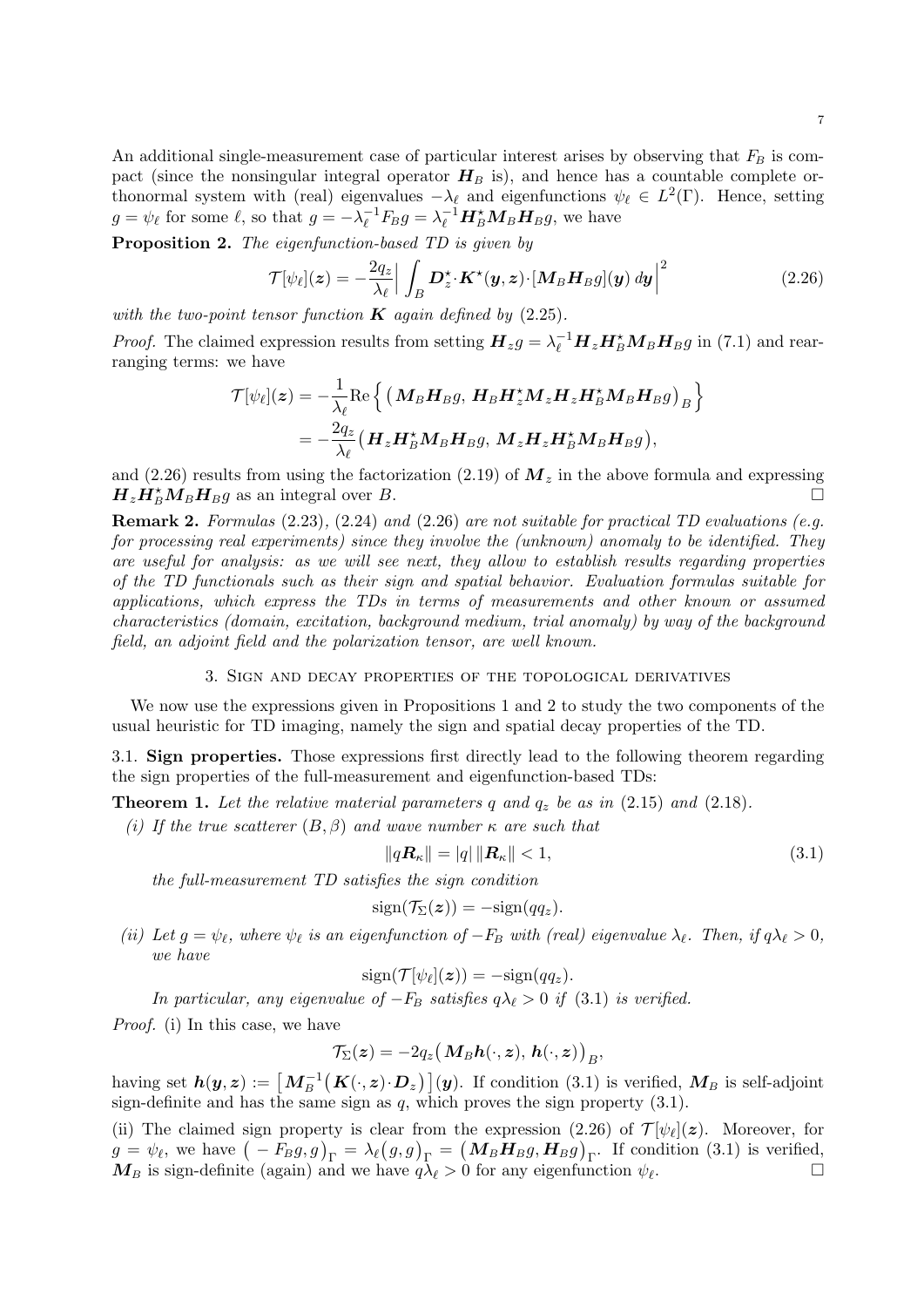An additional single-measurement case of particular interest arises by observing that  $F_B$  is compact (since the nonsingular integral operator  $H_B$  is), and hence has a countable complete orthonormal system with (real) eigenvalues  $-\lambda_{\ell}$  and eigenfunctions  $\psi_{\ell} \in L^2(\Gamma)$ . Hence, setting  $g = \psi_{\ell}$  for some  $\ell$ , so that  $g = -\lambda_{\ell}^{-1}$  $\ell_{\ell}^{-1}F_B g = \lambda_{\ell}^{-1} \boldsymbol{H}_{B}^{\star} \boldsymbol{M}_{B} \boldsymbol{H}_{B} g$ , we have

Proposition 2. The eigenfunction-based TD is given by

$$
\mathcal{T}[\psi_{\ell}](\boldsymbol{z}) = -\frac{2q_z}{\lambda_{\ell}} \Big| \int_B \boldsymbol{D}^{\star}_{\boldsymbol{z}} \cdot \boldsymbol{K}^{\star}(\boldsymbol{y}, \boldsymbol{z}) \cdot \left[ \boldsymbol{M}_B \boldsymbol{H}_B g \right](\boldsymbol{y}) \, d\boldsymbol{y} \Big|^2 \tag{2.26}
$$

with the two-point tensor function  $K$  again defined by (2.25).

*Proof.* The claimed expression results from setting  $H_z g = \lambda_{\ell}^{-1} H_z H_B^* M_B H_B g$  in (7.1) and rearranging terms: we have

$$
\mathcal{T}[\psi_{\ell}](\boldsymbol{z}) = -\frac{1}{\lambda_{\ell}} \text{Re} \left\{ \left( \boldsymbol{M}_{B} \boldsymbol{H}_{B} \boldsymbol{g}, \, \boldsymbol{H}_{B} \boldsymbol{H}_{z}^{\star} \boldsymbol{M}_{z} \boldsymbol{H}_{z} \boldsymbol{H}_{B}^{\star} \boldsymbol{M}_{B} \boldsymbol{H}_{B} \boldsymbol{g} \right)_{B} \right\}
$$
\n
$$
= -\frac{2q_{z}}{\lambda_{\ell}} (\boldsymbol{H}_{z} \boldsymbol{H}_{B}^{\star} \boldsymbol{M}_{B} \boldsymbol{H}_{B} \boldsymbol{g}, \, \boldsymbol{M}_{z} \boldsymbol{H}_{z} \boldsymbol{H}_{B}^{\star} \boldsymbol{M}_{B} \boldsymbol{H}_{B} \boldsymbol{g}),
$$

and (2.26) results from using the factorization (2.19) of  $M_z$  in the above formula and expressing  $H_z H_B^* M_B H_B g$  as an integral over B.

**Remark 2.** Formulas  $(2.23)$ ,  $(2.24)$  and  $(2.26)$  are not suitable for practical TD evaluations (e.g. for processing real experiments) since they involve the (unknown) anomaly to be identified. They are useful for analysis: as we will see next, they allow to establish results regarding properties of the TD functionals such as their sign and spatial behavior. Evaluation formulas suitable for applications, which express the TDs in terms of measurements and other known or assumed characteristics (domain, excitation, background medium, trial anomaly) by way of the background field, an adjoint field and the polarization tensor, are well known.

## 3. Sign and decay properties of the topological derivatives

We now use the expressions given in Propositions 1 and 2 to study the two components of the usual heuristic for TD imaging, namely the sign and spatial decay properties of the TD.

3.1. Sign properties. Those expressions first directly lead to the following theorem regarding the sign properties of the full-measurement and eigenfunction-based TDs:

**Theorem 1.** Let the relative material parameters q and  $q_z$  be as in (2.15) and (2.18).

(i) If the true scatterer  $(B, \beta)$  and wave number  $\kappa$  are such that

$$
||q\mathbf{R}_{\kappa}|| = |q| ||\mathbf{R}_{\kappa}|| < 1,
$$
\n(3.1)

the full-measurement TD satisfies the sign condition

$$
\operatorname{sign}(\mathcal{T}_{\Sigma}(\boldsymbol{z})) = -\operatorname{sign}(qq_{\boldsymbol{z}}).
$$

(ii) Let  $g = \psi_{\ell}$ , where  $\psi_{\ell}$  is an eigenfunction of  $-F_B$  with (real) eigenvalue  $\lambda_{\ell}$ . Then, if  $q\lambda_{\ell} > 0$ , we have

 $sign(\mathcal{T}[\psi_\ell](\boldsymbol{z})) = -sign(qq_{\boldsymbol{z}}).$ 

In particular, any eigenvalue of  $-F_B$  satisfies  $q\lambda_\ell > 0$  if (3.1) is verified.

Proof. (i) In this case, we have

$$
\mathcal{T}_{\Sigma}(\boldsymbol{z})=-2q_z\big(\boldsymbol{M}_B\boldsymbol{h}(\cdot,\boldsymbol{z}),\,\boldsymbol{h}(\cdot,\boldsymbol{z})\big)_B,
$$

having set  $h(y, z) := \left[M_B^{-1}\left(K(\cdot, z) \cdot D_z\right)\right](y)$ . If condition (3.1) is verified,  $M_B$  is self-adjoint sign-definite and has the same sign as  $q$ , which proves the sign property  $(3.1)$ .

(ii) The claimed sign property is clear from the expression (2.26) of  $\mathcal{T}[\psi_{\ell}](z)$ . Moreover, for  $g = \psi_{\ell}$ , we have  $(-F_B g, g)_{\Gamma} = \lambda_{\ell}(g, g)_{\Gamma} = (M_B H_B g, H_B g)_{\Gamma}$ . If condition (3.1) is verified,  $M_B$  is sign-definite (again) and we have  $q\lambda_\ell > 0$  for any eigenfunction  $\psi_\ell$ . .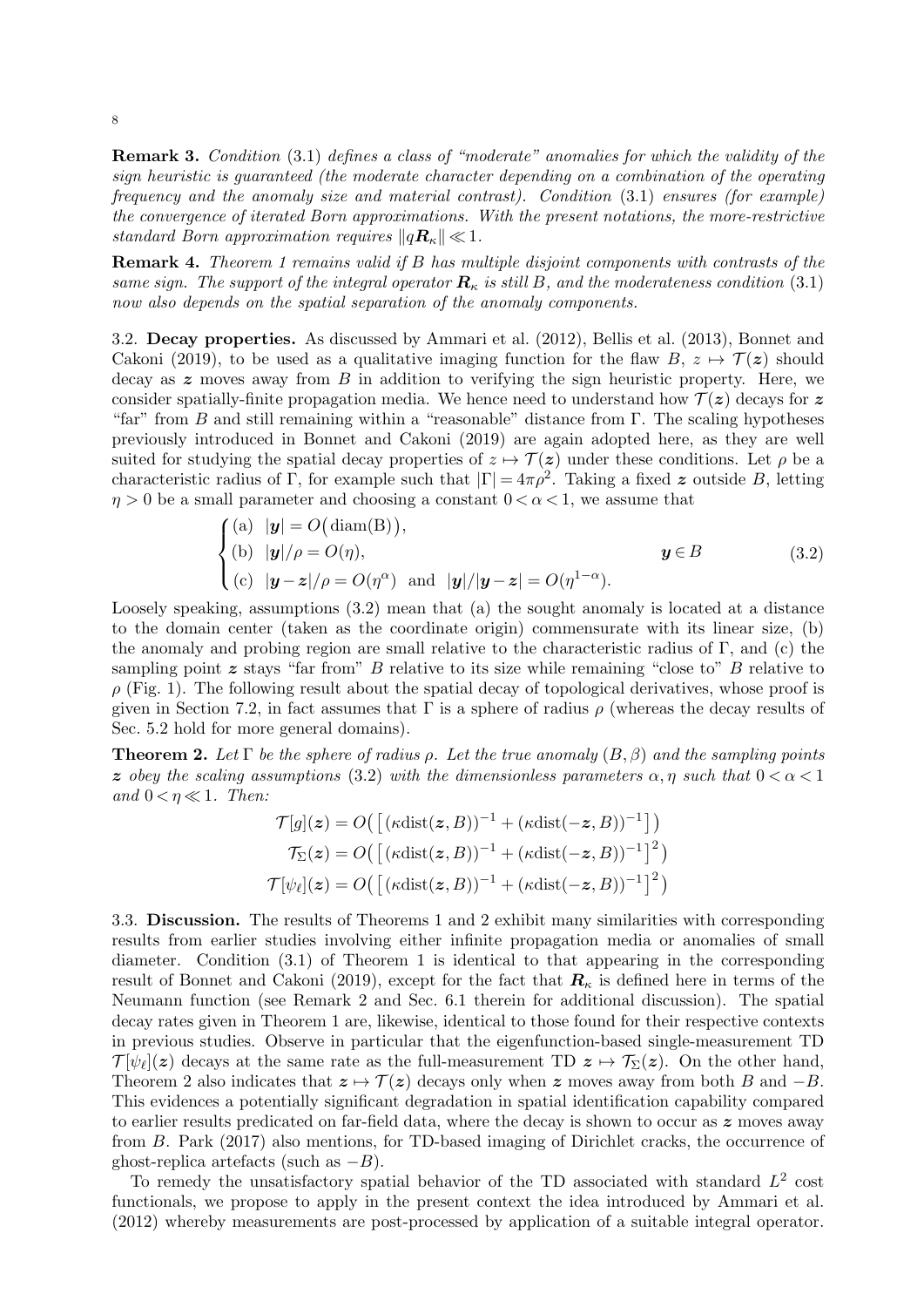Remark 3. Condition (3.1) defines a class of "moderate" anomalies for which the validity of the sign heuristic is guaranteed (the moderate character depending on a combination of the operating frequency and the anomaly size and material contrast). Condition (3.1) ensures (for example) the convergence of iterated Born approximations. With the present notations, the more-restrictive standard Born approximation requires  $||qR_{\kappa}|| \ll 1$ .

Remark 4. Theorem 1 remains valid if B has multiple disjoint components with contrasts of the same sign. The support of the integral operator  $\mathbf{R}_{\kappa}$  is still B, and the moderateness condition (3.1) now also depends on the spatial separation of the anomaly components.

3.2. Decay properties. As discussed by Ammari et al. (2012), Bellis et al. (2013), Bonnet and Cakoni (2019), to be used as a qualitative imaging function for the flaw  $B, z \mapsto \mathcal{T}(z)$  should decay as  $z$  moves away from  $B$  in addition to verifying the sign heuristic property. Here, we consider spatially-finite propagation media. We hence need to understand how  $\mathcal{T}(z)$  decays for z "far" from B and still remaining within a "reasonable" distance from  $\Gamma$ . The scaling hypotheses previously introduced in Bonnet and Cakoni (2019) are again adopted here, as they are well suited for studying the spatial decay properties of  $z \mapsto \mathcal{T}(z)$  under these conditions. Let  $\rho$  be a characteristic radius of Γ, for example such that  $|\Gamma| = 4\pi \rho^2$ . Taking a fixed z outside B, letting  $\eta > 0$  be a small parameter and choosing a constant  $0 < \alpha < 1$ , we assume that

$$
\begin{cases}\n(a) \quad |\mathbf{y}| = O(\operatorname{diam}(B)),\\ \n(b) \quad |\mathbf{y}|/\rho = O(\eta), & \mathbf{y} \in B\\ \n(c) \quad |\mathbf{y} - \mathbf{z}|/\rho = O(\eta^{\alpha}) & \text{and} \quad |\mathbf{y}|/|\mathbf{y} - \mathbf{z}| = O(\eta^{1-\alpha}).\n\end{cases}
$$
\n(3.2)

Loosely speaking, assumptions (3.2) mean that (a) the sought anomaly is located at a distance to the domain center (taken as the coordinate origin) commensurate with its linear size, (b) the anomaly and probing region are small relative to the characteristic radius of Γ, and (c) the sampling point  $z$  stays "far from"  $B$  relative to its size while remaining "close to"  $B$  relative to  $\rho$  (Fig. 1). The following result about the spatial decay of topological derivatives, whose proof is given in Section 7.2, in fact assumes that  $\Gamma$  is a sphere of radius  $\rho$  (whereas the decay results of Sec. 5.2 hold for more general domains).

**Theorem 2.** Let  $\Gamma$  be the sphere of radius  $\rho$ . Let the true anomaly  $(B, \beta)$  and the sampling points z obey the scaling assumptions (3.2) with the dimensionless parameters  $\alpha, \eta$  such that  $0 < \alpha < 1$ and  $0 < \eta \ll 1$ . Then:

$$
\mathcal{T}[g](\mathbf{z}) = O\left(\left[\left(\kappa \text{dist}(\mathbf{z}, B)\right)^{-1} + \left(\kappa \text{dist}(-\mathbf{z}, B)\right)^{-1}\right]\right)
$$

$$
\mathcal{T}_{\Sigma}(\mathbf{z}) = O\left(\left[\left(\kappa \text{dist}(\mathbf{z}, B)\right)^{-1} + \left(\kappa \text{dist}(-\mathbf{z}, B)\right)^{-1}\right]^2\right)
$$

$$
\mathcal{T}[\psi_{\ell}](\mathbf{z}) = O\left(\left[\left(\kappa \text{dist}(\mathbf{z}, B)\right)^{-1} + \left(\kappa \text{dist}(-\mathbf{z}, B)\right)^{-1}\right]^2\right)
$$

3.3. Discussion. The results of Theorems 1 and 2 exhibit many similarities with corresponding results from earlier studies involving either infinite propagation media or anomalies of small diameter. Condition (3.1) of Theorem 1 is identical to that appearing in the corresponding result of Bonnet and Cakoni (2019), except for the fact that  $\mathbf{R}_{\kappa}$  is defined here in terms of the Neumann function (see Remark 2 and Sec. 6.1 therein for additional discussion). The spatial decay rates given in Theorem 1 are, likewise, identical to those found for their respective contexts in previous studies. Observe in particular that the eigenfunction-based single-measurement TD  $\mathcal{T}[\psi_\ell](z)$  decays at the same rate as the full-measurement TD  $z \mapsto \mathcal{T}_{\Sigma}(z)$ . On the other hand, Theorem 2 also indicates that  $z \mapsto T(z)$  decays only when z moves away from both B and  $-B$ . This evidences a potentially significant degradation in spatial identification capability compared to earlier results predicated on far-field data, where the decay is shown to occur as  $\boldsymbol{z}$  moves away from B. Park (2017) also mentions, for TD-based imaging of Dirichlet cracks, the occurrence of ghost-replica artefacts (such as  $-B$ ).

To remedy the unsatisfactory spatial behavior of the TD associated with standard  $L^2$  cost functionals, we propose to apply in the present context the idea introduced by Ammari et al. (2012) whereby measurements are post-processed by application of a suitable integral operator.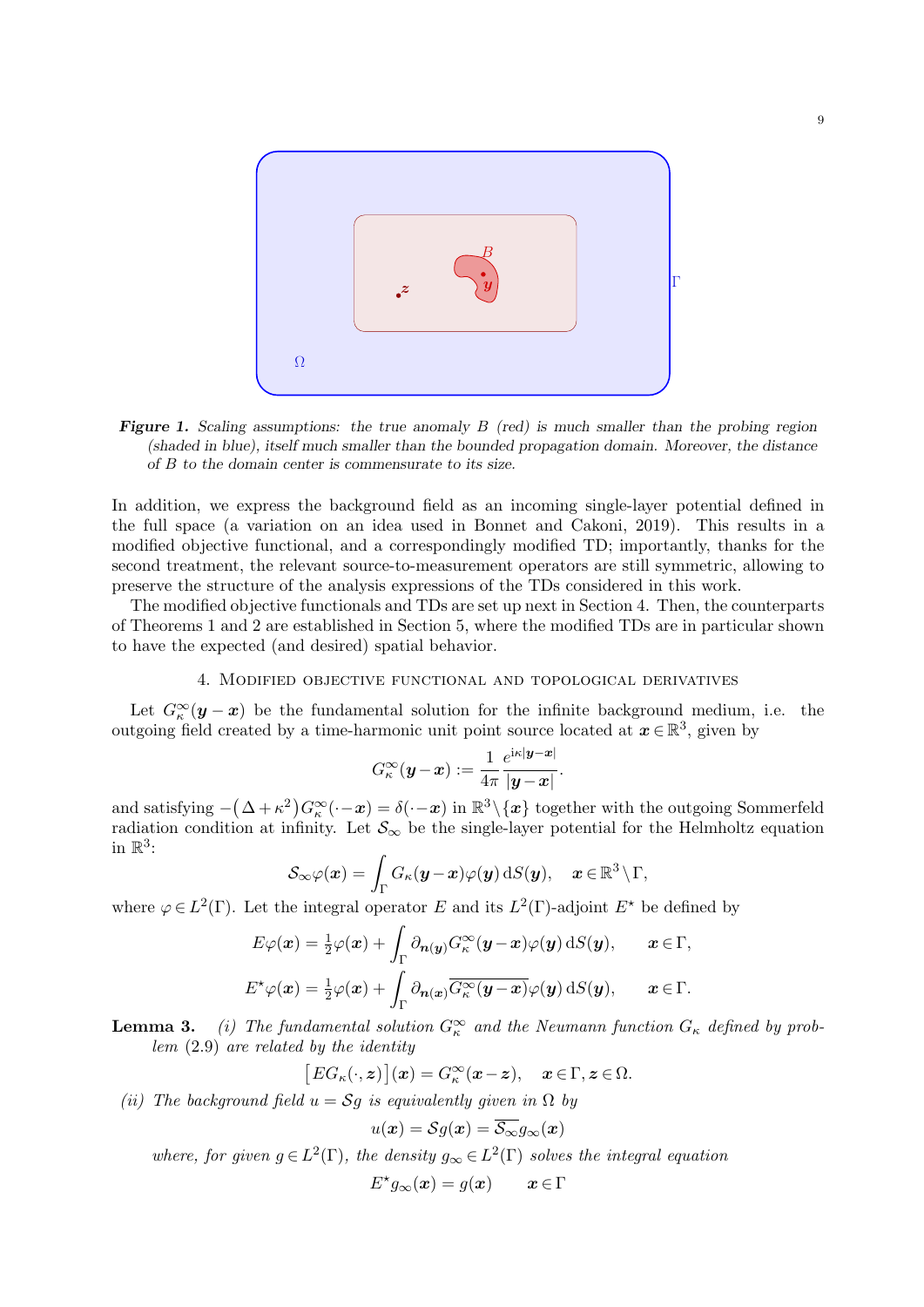

**Figure 1.** Scaling assumptions: the true anomaly  $B$  (red) is much smaller than the probing region (shaded in blue), itself much smaller than the bounded propagation domain. Moreover, the distance of B to the domain center is commensurate to its size.

In addition, we express the background field as an incoming single-layer potential defined in the full space (a variation on an idea used in Bonnet and Cakoni, 2019). This results in a modified objective functional, and a correspondingly modified TD; importantly, thanks for the second treatment, the relevant source-to-measurement operators are still symmetric, allowing to preserve the structure of the analysis expressions of the TDs considered in this work.

The modified objective functionals and TDs are set up next in Section 4. Then, the counterparts of Theorems 1 and 2 are established in Section 5, where the modified TDs are in particular shown to have the expected (and desired) spatial behavior.

## 4. Modified objective functional and topological derivatives

Let  $G_{\kappa}^{\infty}(\mathbf{y}-\mathbf{x})$  be the fundamental solution for the infinite background medium, i.e. the outgoing field created by a time-harmonic unit point source located at  $x \in \mathbb{R}^3$ , given by

$$
G_{\kappa}^{\infty}(\boldsymbol{y}-\boldsymbol{x}):=\frac{1}{4\pi}\frac{e^{\mathrm{i}\kappa|\boldsymbol{y}-\boldsymbol{x}|}}{|\boldsymbol{y}-\boldsymbol{x}|}.
$$

and satisfying  $-(\Delta + \kappa^2)G_{\kappa}^{\infty}(\cdot - x) = \delta(\cdot - x)$  in  $\mathbb{R}^3 \setminus \{x\}$  together with the outgoing Sommerfeld radiation condition at infinity. Let  $\mathcal{S}_{\infty}$  be the single-layer potential for the Helmholtz equation in  $\mathbb{R}^3$ :

$$
\mathcal{S}_\infty \varphi(\boldsymbol{x}) = \int_\Gamma G_\kappa(\boldsymbol{y} - \boldsymbol{x}) \varphi(\boldsymbol{y}) \,\mathrm{d}S(\boldsymbol{y}), \quad \boldsymbol{x} \in \mathbb{R}^3 \, \backslash \, \Gamma,
$$

where  $\varphi \in L^2(\Gamma)$ . Let the integral operator E and its  $L^2(\Gamma)$ -adjoint  $E^*$  be defined by

$$
E\varphi(\boldsymbol{x}) = \frac{1}{2}\varphi(\boldsymbol{x}) + \int_{\Gamma} \partial_{\boldsymbol{n}(\boldsymbol{y})} G_{\kappa}^{\infty}(\boldsymbol{y} - \boldsymbol{x}) \varphi(\boldsymbol{y}) \, dS(\boldsymbol{y}), \qquad \boldsymbol{x} \in \Gamma,
$$
  

$$
E^{\star}\varphi(\boldsymbol{x}) = \frac{1}{2}\varphi(\boldsymbol{x}) + \int_{\Gamma} \partial_{\boldsymbol{n}(\boldsymbol{x})} \overline{G_{\kappa}^{\infty}(\boldsymbol{y} - \boldsymbol{x})} \varphi(\boldsymbol{y}) \, dS(\boldsymbol{y}), \qquad \boldsymbol{x} \in \Gamma.
$$

**Lemma 3.** (i) The fundamental solution  $G_{\kappa}^{\infty}$  and the Neumann function  $G_{\kappa}$  defined by problem (2.9) are related by the identity

$$
[EG_{\kappa}(\cdot,z)](x) = G_{\kappa}^{\infty}(x-z), \quad x \in \Gamma, z \in \Omega.
$$

(ii) The background field  $u = Sg$  is equivalently given in  $\Omega$  by

$$
u(\boldsymbol{x}) = \mathcal{S}g(\boldsymbol{x}) = \overline{\mathcal{S}_{\infty}}g_{\infty}(\boldsymbol{x})
$$

where, for given  $g \in L^2(\Gamma)$ , the density  $g_{\infty} \in L^2(\Gamma)$  solves the integral equation

$$
E^{\star}g_{\infty}(\boldsymbol{x}) = g(\boldsymbol{x}) \qquad \boldsymbol{x} \in \Gamma
$$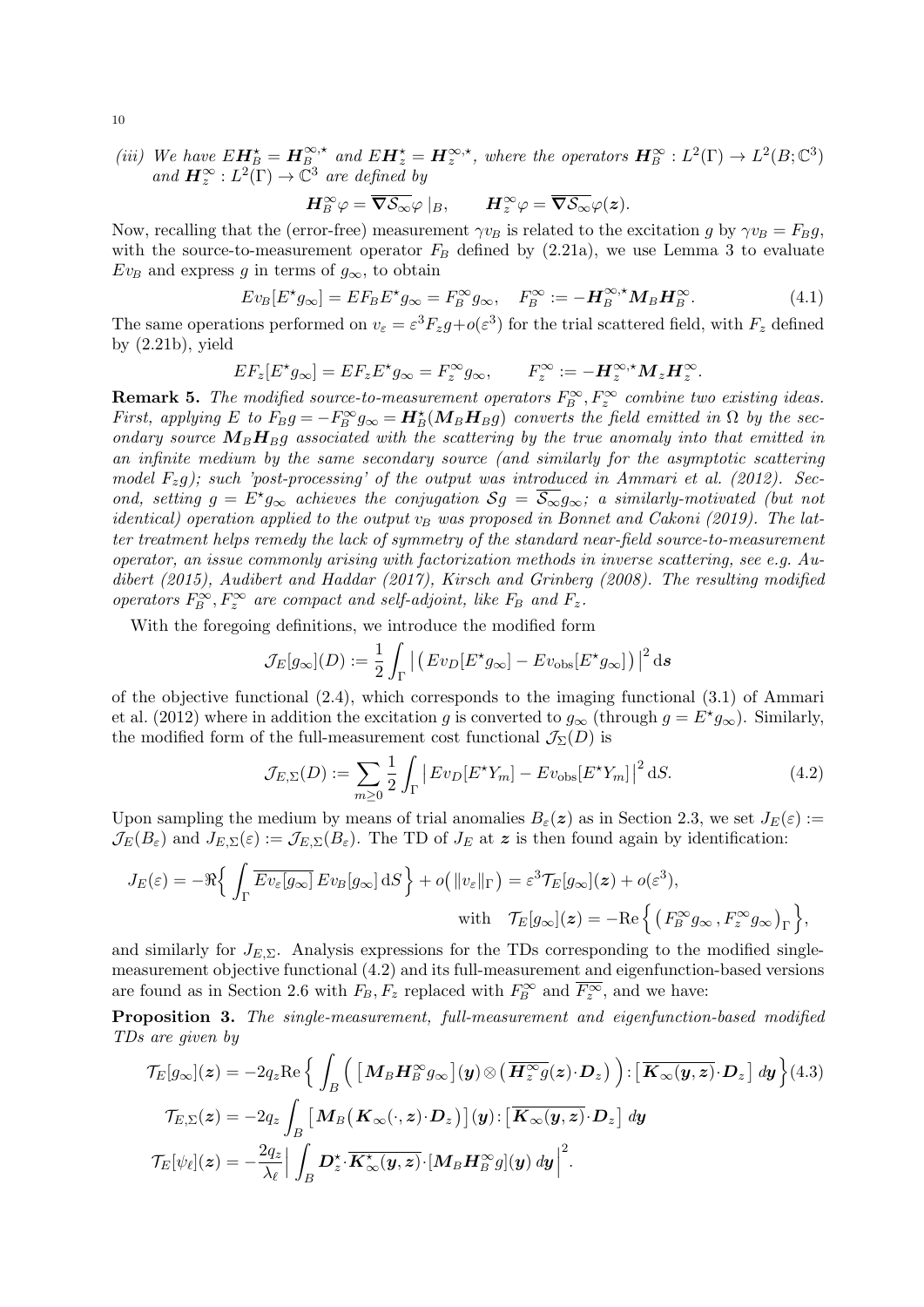(iii) We have  $E\mathbf{H}_{B}^{\star} = \mathbf{H}_{B}^{\infty,*}$  and  $E\mathbf{H}_{z}^{\star} = \mathbf{H}_{z}^{\infty,*}$ , where the operators  $\mathbf{H}_{B}^{\infty}: L^{2}(\Gamma) \to L^{2}(B;\mathbb{C}^{3})$ and  $\mathbf{H}_{z}^{\infty}: L^{2}(\Gamma) \rightarrow \mathbb{C}^{3}$  are defined by

$$
\boldsymbol{H}_{B}^{\infty}\varphi=\overline{\boldsymbol{\nabla}\mathcal{S}_{\infty}}\varphi\mid_{B},\qquad \boldsymbol{H}_{z}^{\infty}\varphi=\overline{\boldsymbol{\nabla}\mathcal{S}_{\infty}}\varphi(\boldsymbol{z}).
$$

Now, recalling that the (error-free) measurement  $\gamma v_B$  is related to the excitation g by  $\gamma v_B = F_B g$ , with the source-to-measurement operator  $F_B$  defined by (2.21a), we use Lemma 3 to evaluate  $Ev_B$  and express g in terms of  $g_{\infty}$ , to obtain

$$
Ev_B[E^{\star}g_{\infty}] = EF_B E^{\star}g_{\infty} = F_B^{\infty}g_{\infty}, \quad F_B^{\infty} := -\mathbf{H}_B^{\infty,\star}\mathbf{M}_B\mathbf{H}_B^{\infty}.
$$
 (4.1)

The same operations performed on  $v_{\varepsilon} = \varepsilon^3 F_z g + o(\varepsilon^3)$  for the trial scattered field, with  $F_z$  defined by  $(2.21b)$ , yield

$$
EF_z[E^{\star}g_{\infty}] = EF_z E^{\star} g_{\infty} = F_z^{\infty} g_{\infty}, \qquad F_z^{\infty} := -\boldsymbol{H}_z^{\infty,\star} \boldsymbol{M}_z \boldsymbol{H}_z^{\infty}.
$$

**Remark 5.** The modified source-to-measurement operators  $F_B^{\infty}$ ,  $F_z^{\infty}$  combine two existing ideas. First, applying E to  $F_B g = -F_B^{\infty} g_{\infty} = H_B^{\star}(M_B H_B g)$  converts the field emitted in  $\Omega$  by the secondary source  $M_B H_{B}$  associated with the scattering by the true anomaly into that emitted in an infinite medium by the same secondary source (and similarly for the asymptotic scattering model  $F_z g$ ); such 'post-processing' of the output was introduced in Ammari et al. (2012). Second, setting  $g = E^* g_\infty$  achieves the conjugation  $S_g = \overline{S_\infty} g_\infty$ ; a similarly-motivated (but not identical) operation applied to the output  $v_B$  was proposed in Bonnet and Cakoni (2019). The latter treatment helps remedy the lack of symmetry of the standard near-field source-to-measurement operator, an issue commonly arising with factorization methods in inverse scattering, see e.g. Audibert (2015), Audibert and Haddar (2017), Kirsch and Grinberg (2008). The resulting modified operators  $F_B^{\infty}$ ,  $F_z^{\infty}$  are compact and self-adjoint, like  $F_B$  and  $F_z$ .

With the foregoing definitions, we introduce the modified form

$$
\mathcal{J}_E[g_\infty](D) := \frac{1}{2} \int_{\Gamma} \left| \left( E v_D [E^* g_\infty] - E v_{\text{obs}} [E^* g_\infty] \right) \right|^2 \mathrm{d} s
$$

of the objective functional  $(2.4)$ , which corresponds to the imaging functional  $(3.1)$  of Ammari et al. (2012) where in addition the excitation g is converted to  $g_{\infty}$  (through  $g = E^{\star} g_{\infty}$ ). Similarly, the modified form of the full-measurement cost functional  $\mathcal{J}_{\Sigma}(D)$  is

$$
\mathcal{J}_{E,\Sigma}(D) := \sum_{m\geq 0} \frac{1}{2} \int_{\Gamma} \left| Ev_D[E^{\star}Y_m] - Ev_{\text{obs}}[E^{\star}Y_m] \right|^2 \, \mathrm{d}S. \tag{4.2}
$$

Upon sampling the medium by means of trial anomalies  $B_{\varepsilon}(z)$  as in Section 2.3, we set  $J_E(\varepsilon) :=$  $\mathcal{J}_E(B_\varepsilon)$  and  $J_{E,\Sigma}(\varepsilon) := \mathcal{J}_{E,\Sigma}(B_\varepsilon)$ . The TD of  $J_E$  at  $\boldsymbol{z}$  is then found again by identification:

$$
J_E(\varepsilon) = -\Re\Big\{\int_{\Gamma} \overline{Ev_{\varepsilon}[g_{\infty}]} \, Ev_B[g_{\infty}] \,dS\Big\} + o\big(\|v_{\varepsilon}\|_{\Gamma}\big) = \varepsilon^3 \mathcal{T}_E[g_{\infty}](\boldsymbol{z}) + o(\varepsilon^3),
$$
  
with 
$$
\mathcal{T}_E[g_{\infty}](\boldsymbol{z}) = -\Re\Big\{\left(F_B^{\infty} g_{\infty}, F_z^{\infty} g_{\infty}\right)_{\Gamma}\Big\},\,
$$

and similarly for  $J_{E,\Sigma}$ . Analysis expressions for the TDs corresponding to the modified singlemeasurement objective functional (4.2) and its full-measurement and eigenfunction-based versions are found as in Section 2.6 with  $F_B, F_z$  replaced with  $F_B^{\infty}$  and  $\overline{F_z^{\infty}}$ , and we have:

Proposition 3. The single-measurement, full-measurement and eigenfunction-based modified TDs are given by

$$
\mathcal{T}_E[g_{\infty}](\mathbf{z}) = -2q_z \text{Re} \Big\{ \int_B \Big( \big[ \mathbf{M}_B \mathbf{H}_B^{\infty} g_{\infty} \big](\mathbf{y}) \otimes \big( \overline{\mathbf{H}_z^{\infty} g}(\mathbf{z}) \cdot \mathbf{D}_z \big) \Big) : \big[ \overline{\mathbf{K}_{\infty}(\mathbf{y}, \mathbf{z})} \cdot \mathbf{D}_z \big] dy \Big\} (4.3)
$$
  

$$
\mathcal{T}_{E,\Sigma}(\mathbf{z}) = -2q_z \int_B \big[ \mathbf{M}_B \big( \mathbf{K}_{\infty}(\cdot, \mathbf{z}) \cdot \mathbf{D}_z \big) \big] (\mathbf{y}) : \big[ \overline{\mathbf{K}_{\infty}(\mathbf{y}, \mathbf{z})} \cdot \mathbf{D}_z \big] dy
$$
  

$$
\mathcal{T}_E[\psi_\ell](\mathbf{z}) = -\frac{2q_z}{\lambda_\ell} \Big| \int_B \mathbf{D}_z^{\star} \cdot \overline{\mathbf{K}_{\infty}^{\star}(\mathbf{y}, \mathbf{z})} \cdot \big[ \mathbf{M}_B \mathbf{H}_B^{\infty} g](\mathbf{y}) dy \Big|^2.
$$

10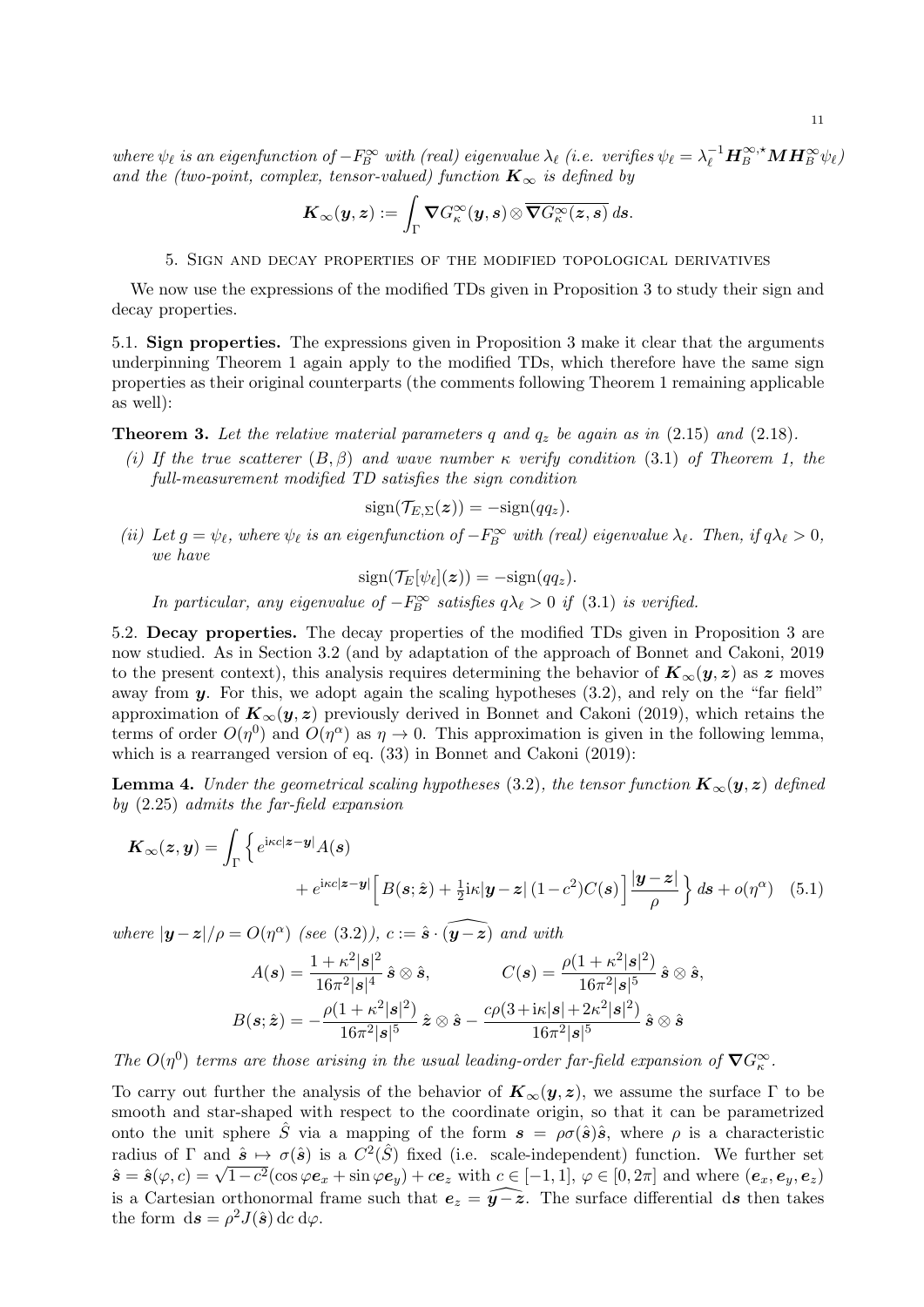where  $\psi_{\ell}$  is an eigenfunction of  $-F_B^{\infty}$  with (real) eigenvalue  $\lambda_{\ell}$  (i.e. verifies  $\psi_{\ell} = \lambda_{\ell}^{-1} \mathbf{H}_{B}^{\infty, \star} \mathbf{M} \mathbf{H}_{B}^{\infty} \psi_{\ell}$ ) and the (two-point, complex, tensor-valued) function  $K_{\infty}$  is defined by

$$
\boldsymbol{K}_{\infty}(\boldsymbol{y},\boldsymbol{z}):=\int_{\Gamma}\boldsymbol{\nabla}G_{\kappa}^{\infty}(\boldsymbol{y},\boldsymbol{s})\otimes\overline{\boldsymbol{\nabla}G_{\kappa}^{\infty}(\boldsymbol{z},\boldsymbol{s})}\,d\boldsymbol{s}.
$$

5. Sign and decay properties of the modified topological derivatives

We now use the expressions of the modified TDs given in Proposition 3 to study their sign and decay properties.

5.1. Sign properties. The expressions given in Proposition 3 make it clear that the arguments underpinning Theorem 1 again apply to the modified TDs, which therefore have the same sign properties as their original counterparts (the comments following Theorem 1 remaining applicable as well):

**Theorem 3.** Let the relative material parameters q and  $q_z$  be again as in (2.15) and (2.18).

(i) If the true scatterer  $(B, \beta)$  and wave number  $\kappa$  verify condition (3.1) of Theorem 1, the full-measurement modified TD satisfies the sign condition

 $sign(\mathcal{T}_{E,\Sigma}(\boldsymbol{z})) = -sign(qq_{\boldsymbol{z}}).$ 

(ii) Let  $g = \psi_{\ell}$ , where  $\psi_{\ell}$  is an eigenfunction of  $-F_B^{\infty}$  with (real) eigenvalue  $\lambda_{\ell}$ . Then, if  $q\lambda_{\ell} > 0$ , we have

 $sign(\mathcal{T}_E[\psi_\ell](\bm{z})) = -sign(qq_{\bm{z}}).$ 

In particular, any eigenvalue of  $-F_B^{\infty}$  satisfies  $q\lambda_{\ell} > 0$  if  $(3.1)$  is verified.

5.2. Decay properties. The decay properties of the modified TDs given in Proposition 3 are now studied. As in Section 3.2 (and by adaptation of the approach of Bonnet and Cakoni, 2019 to the present context), this analysis requires determining the behavior of  $K_{\infty}(y, z)$  as z moves away from  $y$ . For this, we adopt again the scaling hypotheses  $(3.2)$ , and rely on the "far field" approximation of  $K_{\infty}(y, z)$  previously derived in Bonnet and Cakoni (2019), which retains the terms of order  $O(\eta^0)$  and  $O(\eta^{\alpha})$  as  $\eta \to 0$ . This approximation is given in the following lemma, which is a rearranged version of eq. (33) in Bonnet and Cakoni (2019):

**Lemma 4.** Under the geometrical scaling hypotheses (3.2), the tensor function  $K_{\infty}(y, z)$  defined by (2.25) admits the far-field expansion

$$
\mathbf{K}_{\infty}(z, y) = \int_{\Gamma} \left\{ e^{i\kappa c |z - y|} A(s) + e^{i\kappa c |z - y|} \left[ B(s; \hat{z}) + \frac{1}{2} i\kappa |y - z| (1 - c^2) C(s) \right] \frac{|y - z|}{\rho} \right\} ds + o(\eta^{\alpha}) \quad (5.1)
$$

where  $|\mathbf{y} - \mathbf{z}|/\rho = O(\eta^{\alpha})$  (see (3.2)),  $c := \hat{\mathbf{s}} \cdot (\widehat{\mathbf{y} - \mathbf{z}})$  and with

$$
A(\boldsymbol{s}) = \frac{1 + \kappa^2 |\boldsymbol{s}|^2}{16\pi^2 |\boldsymbol{s}|^4} \hat{\boldsymbol{s}} \otimes \hat{\boldsymbol{s}}, \qquad \qquad C(\boldsymbol{s}) = \frac{\rho (1 + \kappa^2 |\boldsymbol{s}|^2)}{16\pi^2 |\boldsymbol{s}|^5} \hat{\boldsymbol{s}} \otimes \hat{\boldsymbol{s}},
$$

$$
B(\boldsymbol{s}; \hat{\boldsymbol{z}}) = -\frac{\rho (1 + \kappa^2 |\boldsymbol{s}|^2)}{16\pi^2 |\boldsymbol{s}|^5} \hat{\boldsymbol{z}} \otimes \hat{\boldsymbol{s}} - \frac{c\rho (3 + \mathrm{i}\kappa |\boldsymbol{s}| + 2\kappa^2 |\boldsymbol{s}|^2)}{16\pi^2 |\boldsymbol{s}|^5} \hat{\boldsymbol{s}} \otimes \hat{\boldsymbol{s}}
$$

The  $O(\eta^0)$  terms are those arising in the usual leading-order far-field expansion of  $\nabla G^{\infty}_{\kappa}$ .

To carry out further the analysis of the behavior of  $K_{\infty}(y, z)$ , we assume the surface  $\Gamma$  to be smooth and star-shaped with respect to the coordinate origin, so that it can be parametrized onto the unit sphere  $\hat{S}$  via a mapping of the form  $s = \rho \sigma(\hat{s})\hat{s}$ , where  $\rho$  is a characteristic radius of  $\Gamma$  and  $\hat{\mathbf{s}} \mapsto \sigma(\hat{\mathbf{s}})$  is a  $C^2(\hat{S})$  fixed (i.e. scale-independent) function. We further set radius of 1 and  $s \mapsto \sigma(s)$  is a  $C^-(s)$  fixed (i.e. scale-independent) function. We further set  $\hat{s} = \hat{s}(\varphi, c) = \sqrt{1 - c^2}(\cos \varphi e_x + \sin \varphi e_y) + ce_z$  with  $c \in [-1, 1], \varphi \in [0, 2\pi]$  and where  $(e_x, e_y, e_z)$ is a Cartesian orthonormal frame such that  $e_z = \widehat{y-z}$ . The surface differential ds then takes the form  $ds = \rho^2 J(\hat{s}) \, \mathrm{d}c \, \mathrm{d}\varphi$ .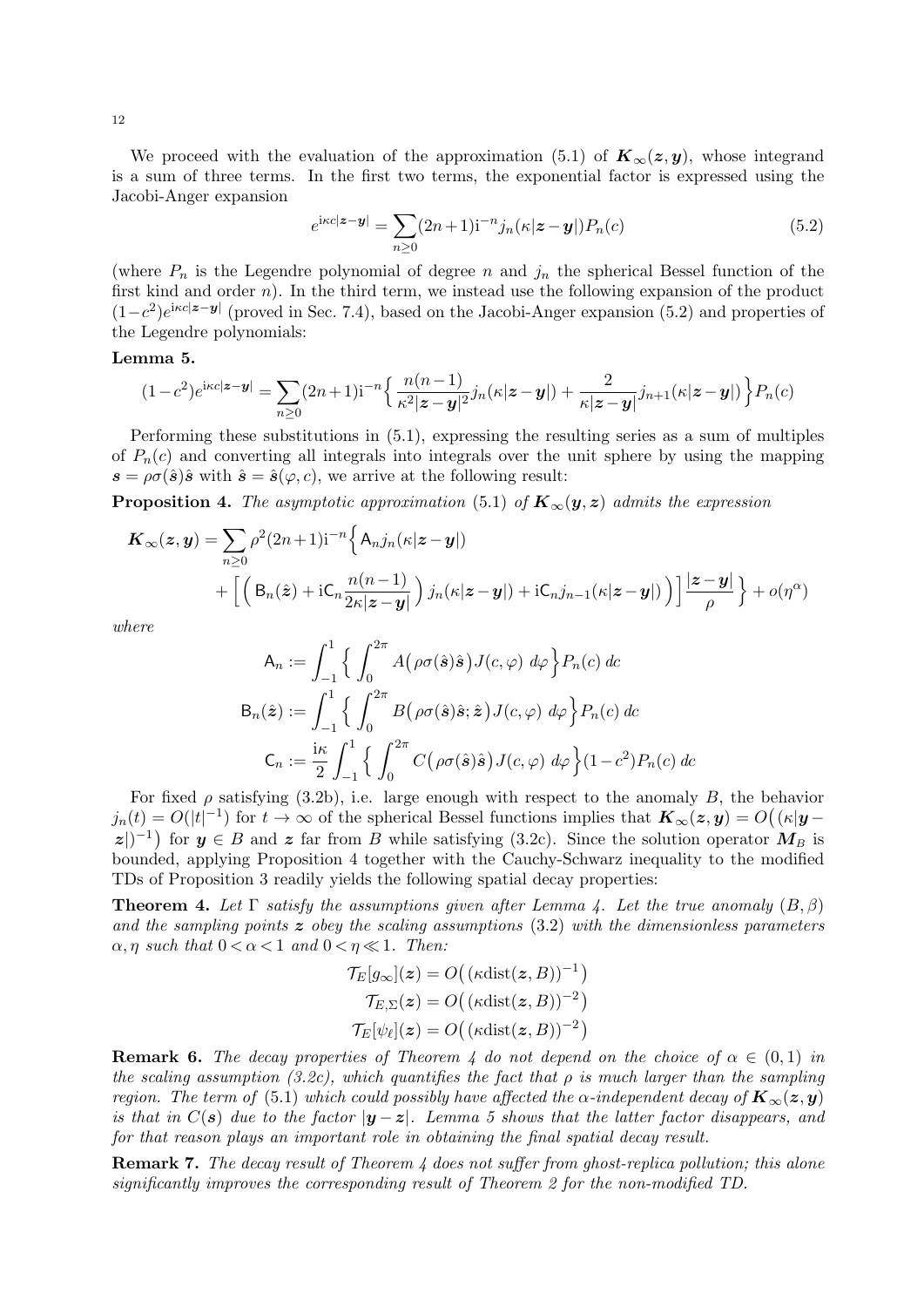We proceed with the evaluation of the approximation (5.1) of  $\mathbf{K}_{\infty}(z, y)$ , whose integrand is a sum of three terms. In the first two terms, the exponential factor is expressed using the Jacobi-Anger expansion

$$
e^{i\kappa c|\mathbf{z}-\mathbf{y}|} = \sum_{n\geq 0} (2n+1) \mathbf{i}^{-n} j_n(\kappa|\mathbf{z}-\mathbf{y}|) P_n(c)
$$
\n(5.2)

(where  $P_n$  is the Legendre polynomial of degree n and  $j_n$  the spherical Bessel function of the first kind and order  $n$ ). In the third term, we instead use the following expansion of the product  $(1-c^2)e^{i\kappa c|z-y|}$  (proved in Sec. 7.4), based on the Jacobi-Anger expansion (5.2) and properties of the Legendre polynomials:

## Lemma 5.

$$
(1-c^2)e^{ikc|\mathbf{z}-\mathbf{y}|} = \sum_{n\geq 0} (2n+1)\mathbf{i}^{-n} \left\{ \frac{n(n-1)}{\kappa^2|\mathbf{z}-\mathbf{y}|^2} j_n(\kappa|\mathbf{z}-\mathbf{y}|) + \frac{2}{\kappa|\mathbf{z}-\mathbf{y}|} j_{n+1}(\kappa|\mathbf{z}-\mathbf{y}|) \right\} P_n(c)
$$

Performing these substitutions in (5.1), expressing the resulting series as a sum of multiples of  $P_n(c)$  and converting all integrals into integrals over the unit sphere by using the mapping  $s = \rho \sigma(\hat{s})\hat{s}$  with  $\hat{s} = \hat{s}(\varphi, c)$ , we arrive at the following result:

**Proposition 4.** The asymptotic approximation (5.1) of  $K_{\infty}(y, z)$  admits the expression

$$
\mathbf{K}_{\infty}(\mathbf{z}, \mathbf{y}) = \sum_{n \geq 0} \rho^{2} (2n+1) \mathbf{i}^{-n} \Big\{ A_{n} j_{n}(\kappa | \mathbf{z} - \mathbf{y}) + \left[ \left( B_{n}(\hat{\mathbf{z}}) + \mathbf{i} \mathbf{C}_{n} \frac{n(n-1)}{2\kappa | \mathbf{z} - \mathbf{y} |} \right) j_{n}(\kappa | \mathbf{z} - \mathbf{y}) + \mathbf{i} \mathbf{C}_{n} j_{n-1}(\kappa | \mathbf{z} - \mathbf{y}) \right] \Big] \frac{|\mathbf{z} - \mathbf{y}|}{\rho} \Big\} + o(\eta^{\alpha})
$$

where

$$
\mathsf{A}_n := \int_{-1}^1 \left\{ \int_0^{2\pi} A(\rho \sigma(\hat{\mathbf{s}}) \hat{\mathbf{s}}) J(c, \varphi) \, d\varphi \right\} P_n(c) \, dc
$$
\n
$$
\mathsf{B}_n(\hat{\mathbf{z}}) := \int_{-1}^1 \left\{ \int_0^{2\pi} B(\rho \sigma(\hat{\mathbf{s}}) \hat{\mathbf{s}}; \hat{\mathbf{z}}) J(c, \varphi) \, d\varphi \right\} P_n(c) \, dc
$$
\n
$$
\mathsf{C}_n := \frac{\mathrm{i}\kappa}{2} \int_{-1}^1 \left\{ \int_0^{2\pi} C(\rho \sigma(\hat{\mathbf{s}}) \hat{\mathbf{s}}) J(c, \varphi) \, d\varphi \right\} (1 - c^2) P_n(c) \, dc
$$

For fixed  $\rho$  satisfying (3.2b), i.e. large enough with respect to the anomaly B, the behavior  $j_n(t) = O(|t|^{-1})$  for  $t \to \infty$  of the spherical Bessel functions implies that  $\mathbf{K}_{\infty}(\mathbf{z}, \mathbf{y}) = O(|\kappa|\mathbf{y} - \mathbf{y}|)$  $|z|$ <sup>-1</sup>) for  $y \in B$  and z far from B while satisfying (3.2c). Since the solution operator  $M_B$  is bounded, applying Proposition 4 together with the Cauchy-Schwarz inequality to the modified TDs of Proposition 3 readily yields the following spatial decay properties:

**Theorem 4.** Let  $\Gamma$  satisfy the assumptions given after Lemma 4. Let the true anomaly  $(B, \beta)$ and the sampling points  $z$  obey the scaling assumptions (3.2) with the dimensionless parameters  $\alpha$ ,  $\eta$  such that  $0 < \alpha < 1$  and  $0 < \eta \ll 1$ . Then:

$$
\mathcal{T}_E[g_\infty](\boldsymbol{z}) = O\big((\kappa \text{dist}(\boldsymbol{z}, B))^{-1}\big)
$$

$$
\mathcal{T}_{E,\Sigma}(\boldsymbol{z}) = O\big((\kappa \text{dist}(\boldsymbol{z}, B))^{-2}\big)
$$

$$
\mathcal{T}_E[\psi_\ell](\boldsymbol{z}) = O\big((\kappa \text{dist}(\boldsymbol{z}, B))^{-2}\big)
$$

**Remark 6.** The decay properties of Theorem 4 do not depend on the choice of  $\alpha \in (0,1)$  in the scaling assumption (3.2c), which quantifies the fact that  $\rho$  is much larger than the sampling region. The term of (5.1) which could possibly have affected the  $\alpha$ -independent decay of  $\mathbf{K}_{\infty}(\mathbf{z}, \mathbf{y})$ is that in  $C(s)$  due to the factor  $|y - z|$ . Lemma 5 shows that the latter factor disappears, and for that reason plays an important role in obtaining the final spatial decay result.

**Remark 7.** The decay result of Theorem 4 does not suffer from ghost-replica pollution; this alone significantly improves the corresponding result of Theorem 2 for the non-modified TD.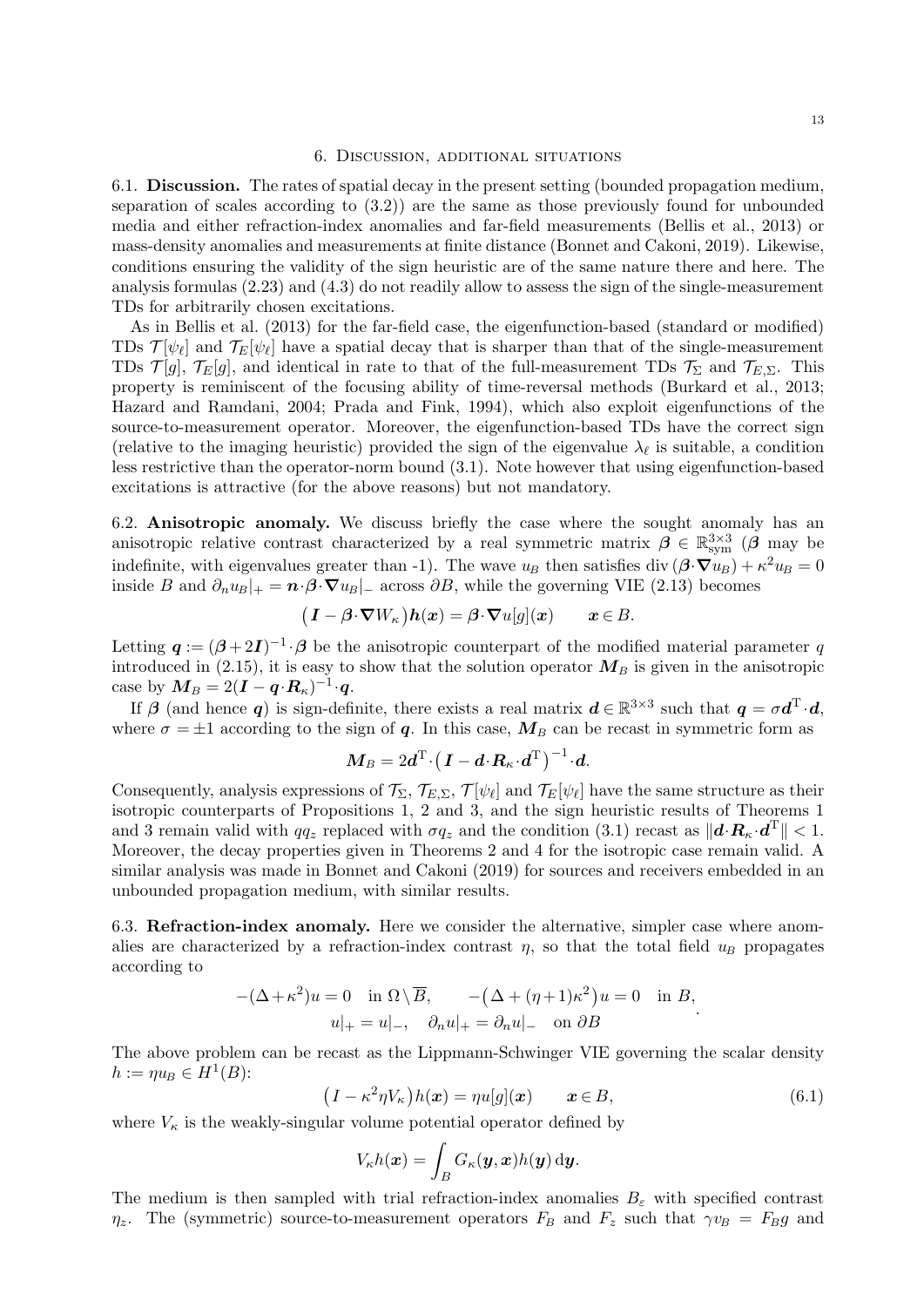### 6. Discussion, additional situations

6.1. Discussion. The rates of spatial decay in the present setting (bounded propagation medium, separation of scales according to (3.2)) are the same as those previously found for unbounded media and either refraction-index anomalies and far-field measurements (Bellis et al., 2013) or mass-density anomalies and measurements at finite distance (Bonnet and Cakoni, 2019). Likewise, conditions ensuring the validity of the sign heuristic are of the same nature there and here. The analysis formulas (2.23) and (4.3) do not readily allow to assess the sign of the single-measurement TDs for arbitrarily chosen excitations.

As in Bellis et al. (2013) for the far-field case, the eigenfunction-based (standard or modified) TDs  $\mathcal{T}[\psi_\ell]$  and  $\mathcal{T}_E[\psi_\ell]$  have a spatial decay that is sharper than that of the single-measurement TDs  $\mathcal{T}[q], \mathcal{T}_E[q]$ , and identical in rate to that of the full-measurement TDs  $\mathcal{T}_{\Sigma}$  and  $\mathcal{T}_{E,\Sigma}$ . This property is reminiscent of the focusing ability of time-reversal methods (Burkard et al., 2013; Hazard and Ramdani, 2004; Prada and Fink, 1994), which also exploit eigenfunctions of the source-to-measurement operator. Moreover, the eigenfunction-based TDs have the correct sign (relative to the imaging heuristic) provided the sign of the eigenvalue  $\lambda_{\ell}$  is suitable, a condition less restrictive than the operator-norm bound (3.1). Note however that using eigenfunction-based excitations is attractive (for the above reasons) but not mandatory.

6.2. Anisotropic anomaly. We discuss briefly the case where the sought anomaly has an anisotropic relative contrast characterized by a real symmetric matrix  $\beta \in \mathbb{R}^{3\times 3}_{sym}$  ( $\beta$  may be indefinite, with eigenvalues greater than -1). The wave  $u_B$  then satisfies div  $(\beta \cdot \nabla u_B) + \kappa^2 u_B = 0$ inside B and  $\partial_n u_B|_{+} = \mathbf{n} \cdot \mathbf{\beta} \cdot \nabla u_B|_{-}$  across  $\partial B$ , while the governing VIE (2.13) becomes

$$
(\boldsymbol{I} - \boldsymbol{\beta} \cdot \boldsymbol{\nabla} W_{\kappa}) \boldsymbol{h}(\boldsymbol{x}) = \boldsymbol{\beta} \cdot \boldsymbol{\nabla} u[g](\boldsymbol{x}) \qquad \boldsymbol{x} \in B.
$$

Letting  $q := (\beta + 2I)^{-1} \cdot \beta$  be the anisotropic counterpart of the modified material parameter q introduced in (2.15), it is easy to show that the solution operator  $M_B$  is given in the anisotropic case by  $\boldsymbol{M}_B = 2(\boldsymbol{I} - \boldsymbol{q} \cdot \boldsymbol{R}_{\kappa})^{-1} \cdot \boldsymbol{q}$ .

If  $\beta$  (and hence q) is sign-definite, there exists a real matrix  $d \in \mathbb{R}^{3 \times 3}$  such that  $q = \sigma d^{\mathrm{T}} \cdot d$ , where  $\sigma = \pm 1$  according to the sign of q. In this case,  $M_B$  can be recast in symmetric form as

$$
\boldsymbol{M}_{B}=2\boldsymbol{d}^{\mathrm{T}}\!\cdot\!\big(\boldsymbol{I}-\boldsymbol{d}\!\cdot\!\boldsymbol{R}_{\kappa}\!\cdot\!\boldsymbol{d}^{\mathrm{T}}\big)^{-1}\!\cdot\!\boldsymbol{d}.
$$

Consequently, analysis expressions of  $\mathcal{T}_{\Sigma}$ ,  $\mathcal{T}_{E,\Sigma}$ ,  $\mathcal{T}[\psi_{\ell}]$  and  $\mathcal{T}_{E}[\psi_{\ell}]$  have the same structure as their isotropic counterparts of Propositions 1, 2 and 3, and the sign heuristic results of Theorems 1 and 3 remain valid with  $qq_z$  replaced with  $\sigma q_z$  and the condition (3.1) recast as  $\|\mathbf{d} \cdot \mathbf{R}_{\kappa} \cdot \mathbf{d}^{\mathrm{T}}\| < 1$ . Moreover, the decay properties given in Theorems 2 and 4 for the isotropic case remain valid. A similar analysis was made in Bonnet and Cakoni (2019) for sources and receivers embedded in an unbounded propagation medium, with similar results.

6.3. Refraction-index anomaly. Here we consider the alternative, simpler case where anomalies are characterized by a refraction-index contrast  $\eta$ , so that the total field  $u_B$  propagates according to

$$
-(\Delta + \kappa^2)u = 0 \text{ in } \Omega \setminus \overline{B}, \qquad -(\Delta + (\eta + 1)\kappa^2)u = 0 \text{ in } B,
$$
  

$$
u|_{+} = u|_{-}, \quad \partial_n u|_{+} = \partial_n u|_{-} \quad \text{on } \partial B
$$

The above problem can be recast as the Lippmann-Schwinger VIE governing the scalar density  $h := \eta u_B \in H^1(B)$ :

$$
(I - \kappa^2 \eta V_\kappa) h(\boldsymbol{x}) = \eta u[g](\boldsymbol{x}) \qquad \boldsymbol{x} \in B,
$$
\n(6.1)

where  $V_{\kappa}$  is the weakly-singular volume potential operator defined by

$$
V_{\kappa}h(\boldsymbol{x})=\int_B G_{\kappa}(\boldsymbol{y},\boldsymbol{x})h(\boldsymbol{y})\,\mathrm{d}\boldsymbol{y}.
$$

The medium is then sampled with trial refraction-index anomalies  $B_{\varepsilon}$  with specified contrast  $\eta_z$ . The (symmetric) source-to-measurement operators  $F_B$  and  $F_z$  such that  $\gamma v_B = F_B g$  and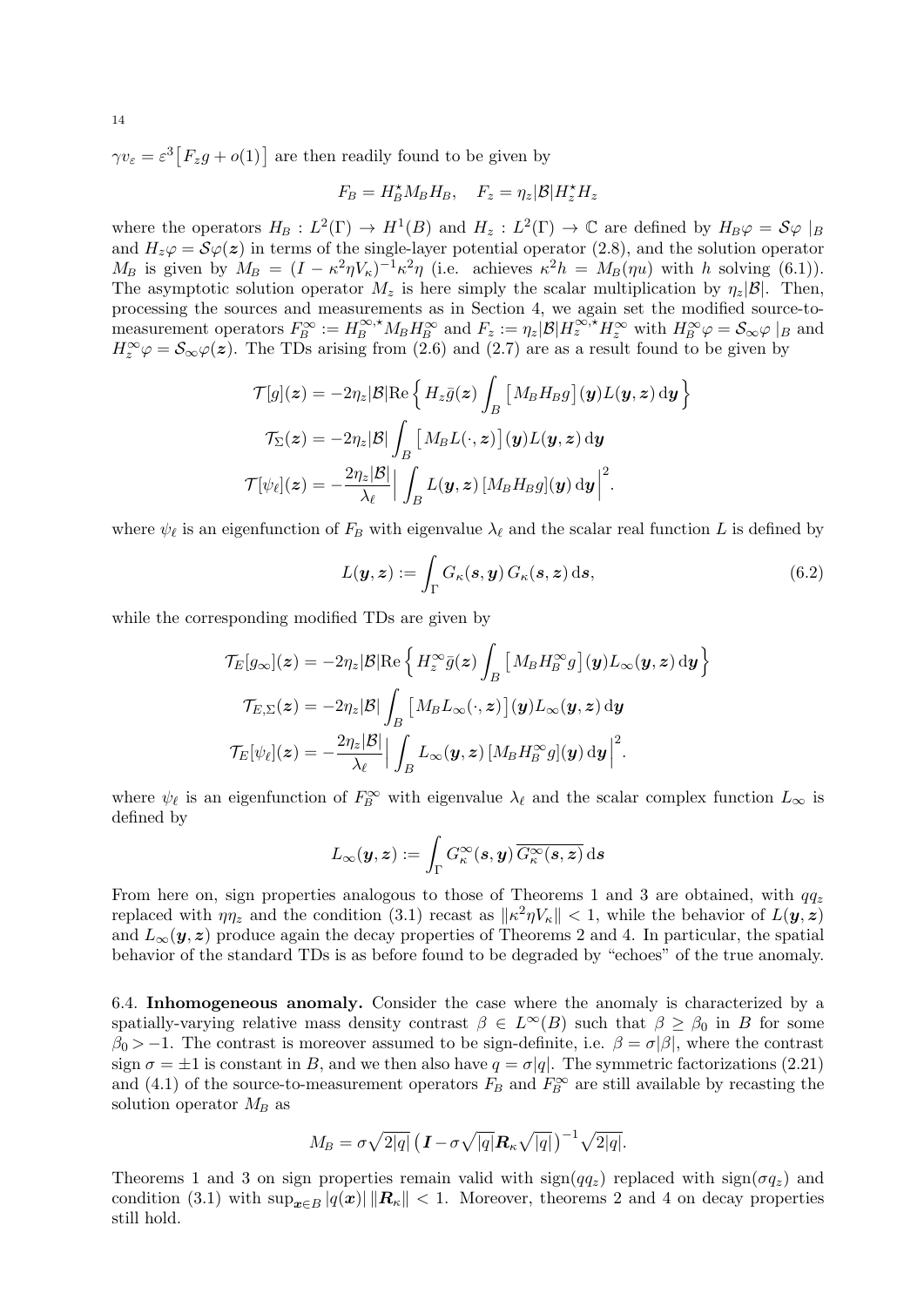$\gamma v_{\varepsilon} = \varepsilon^3 [F_z g + o(1)]$  are then readily found to be given by

$$
F_B = H_B^{\star} M_B H_B, \quad F_z = \eta_z |\mathcal{B}| H_z^{\star} H_z
$$

where the operators  $H_B: L^2(\Gamma) \to H^1(B)$  and  $H_z: L^2(\Gamma) \to \mathbb{C}$  are defined by  $H_B\varphi = \mathcal{S}\varphi |_B$ and  $H_z\varphi = \mathcal{S}\varphi(z)$  in terms of the single-layer potential operator (2.8), and the solution operator  $M_B$  is given by  $M_B = (I - \kappa^2 \eta V_\kappa)^{-1} \kappa^2 \eta$  (i.e. achieves  $\kappa^2 h = M_B(\eta u)$  with h solving (6.1)). The asymptotic solution operator  $M_z$  is here simply the scalar multiplication by  $\eta_z|\mathcal{B}|$ . Then, processing the sources and measurements as in Section 4, we again set the modified source-tomeasurement operators  $F_B^{\infty} := H_B^{\infty, \star} M_B H_B^{\infty}$  and  $F_z := \eta_z |\mathcal{B}| H_z^{\infty, \star} H_z^{\infty}$  with  $H_B^{\infty} \varphi = \mathcal{S}_{\infty} \varphi|_B$  and  $H_z^{\infty} \varphi = \mathcal{S}_{\infty} \varphi(z)$ . The TDs arising from (2.6) and (2.7) are as a result found to be given by

$$
\mathcal{T}[g](\boldsymbol{z}) = -2\eta_{z}|\mathcal{B}|\text{Re}\left\{H_{z}\bar{g}(\boldsymbol{z})\int_{B}\left[M_{B}H_{B}g\right](\boldsymbol{y})L(\boldsymbol{y},\boldsymbol{z})\,\mathrm{d}\boldsymbol{y}\right\}
$$

$$
\mathcal{T}_{\Sigma}(\boldsymbol{z}) = -2\eta_{z}|\mathcal{B}|\int_{B}\left[M_{B}L(\cdot,\boldsymbol{z})\right](\boldsymbol{y})L(\boldsymbol{y},\boldsymbol{z})\,\mathrm{d}\boldsymbol{y}
$$

$$
\mathcal{T}[\psi_{\ell}](\boldsymbol{z}) = -\frac{2\eta_{z}|\mathcal{B}|}{\lambda_{\ell}}\Big|\int_{B}L(\boldsymbol{y},\boldsymbol{z})\left[M_{B}H_{B}g\right](\boldsymbol{y})\,\mathrm{d}\boldsymbol{y}\Big|^{2}.
$$

where  $\psi_{\ell}$  is an eigenfunction of  $F_B$  with eigenvalue  $\lambda_{\ell}$  and the scalar real function L is defined by

$$
L(\mathbf{y}, \mathbf{z}) := \int_{\Gamma} G_{\kappa}(\mathbf{s}, \mathbf{y}) \, G_{\kappa}(\mathbf{s}, \mathbf{z}) \, \mathrm{d}\mathbf{s}, \tag{6.2}
$$

while the corresponding modified TDs are given by

$$
\mathcal{T}_E[g_{\infty}](\boldsymbol{z}) = -2\eta_{\boldsymbol{z}}|\mathcal{B}|\text{Re}\left\{H_z^{\infty}\bar{g}(\boldsymbol{z})\int_B\left[M_B H_B^{\infty}g\right](\boldsymbol{y})L_{\infty}(\boldsymbol{y},\boldsymbol{z})\,\mathrm{d}\boldsymbol{y}\right\}
$$

$$
\mathcal{T}_{E,\Sigma}(\boldsymbol{z}) = -2\eta_{\boldsymbol{z}}|\mathcal{B}|\int_B\left[M_B L_{\infty}(\cdot,\boldsymbol{z})\right](\boldsymbol{y})L_{\infty}(\boldsymbol{y},\boldsymbol{z})\,\mathrm{d}\boldsymbol{y}
$$

$$
\mathcal{T}_E[\psi_{\ell}](\boldsymbol{z}) = -\frac{2\eta_{\boldsymbol{z}}|\mathcal{B}|}{\lambda_{\ell}}\left|\int_B L_{\infty}(\boldsymbol{y},\boldsymbol{z})\left[M_B H_B^{\infty}g\right](\boldsymbol{y})\,\mathrm{d}\boldsymbol{y}\right|^2.
$$

where  $\psi_{\ell}$  is an eigenfunction of  $F_B^{\infty}$  with eigenvalue  $\lambda_{\ell}$  and the scalar complex function  $L_{\infty}$  is defined by

$$
L_\infty({\boldsymbol{y}},{\boldsymbol{z}}) := \int_\Gamma G^\infty_\kappa({\boldsymbol{s}},{\boldsymbol{y}}) \, \overline{G^\infty_\kappa({\boldsymbol{s}},{\boldsymbol{z}})} \, \mathrm{d}{\boldsymbol{s}}
$$

From here on, sign properties analogous to those of Theorems 1 and 3 are obtained, with  $qq_z$ replaced with  $\eta_{2}$  and the condition (3.1) recast as  $\|\kappa^2\eta V_{\kappa}\| < 1$ , while the behavior of  $L(\mathbf{y}, \mathbf{z})$ and  $L_{\infty}(\mathbf{y}, \mathbf{z})$  produce again the decay properties of Theorems 2 and 4. In particular, the spatial behavior of the standard TDs is as before found to be degraded by "echoes" of the true anomaly.

6.4. Inhomogeneous anomaly. Consider the case where the anomaly is characterized by a spatially-varying relative mass density contrast  $\beta \in L^{\infty}(B)$  such that  $\beta \geq \beta_0$  in B for some  $\beta_0 > -1$ . The contrast is moreover assumed to be sign-definite, i.e.  $\beta = \sigma |\beta|$ , where the contrast sign  $\sigma = \pm 1$  is constant in B, and we then also have  $q = \sigma |q|$ . The symmetric factorizations (2.21) and (4.1) of the source-to-measurement operators  $F_B$  and  $F_B^{\infty}$  are still available by recasting the solution operator  $M_B$  as

$$
M_B = \sigma \sqrt{2|q|} \left( \mathbf{I} - \sigma \sqrt{|q|} \mathbf{R}_{\kappa} \sqrt{|q|} \right)^{-1} \sqrt{2|q|}.
$$

Theorems 1 and 3 on sign properties remain valid with  $sign(qq_z)$  replaced with  $sign(\sigma q_z)$  and condition (3.1) with  $\sup_{x \in B} |q(x)| ||R_{\kappa}|| < 1$ . Moreover, theorems 2 and 4 on decay properties still hold.

14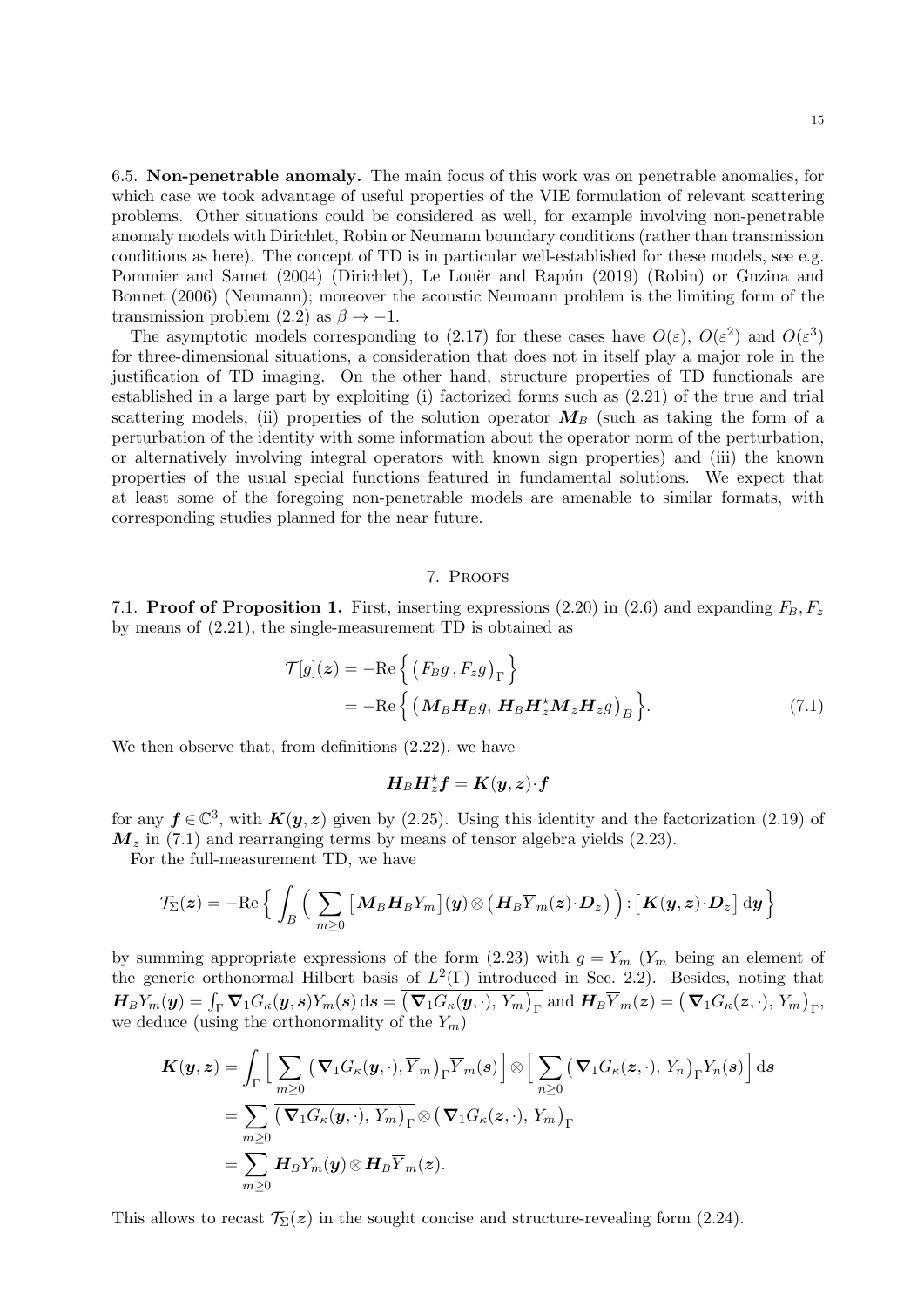6.5. Non-penetrable anomaly. The main focus of this work was on penetrable anomalies, for which case we took advantage of useful properties of the VIE formulation of relevant scattering problems. Other situations could be considered as well, for example involving non-penetrable anomaly models with Dirichlet, Robin or Neumann boundary conditions (rather than transmission conditions as here). The concept of TD is in particular well-established for these models, see e.g. Pommier and Samet (2004) (Dirichlet), Le Louër and Rapún (2019) (Robin) or Guzina and Bonnet (2006) (Neumann); moreover the acoustic Neumann problem is the limiting form of the transmission problem (2.2) as  $\beta \rightarrow -1$ .

The asymptotic models corresponding to (2.17) for these cases have  $O(\varepsilon)$ ,  $O(\varepsilon^2)$  and  $O(\varepsilon^3)$ for three-dimensional situations, a consideration that does not in itself play a major role in the justification of TD imaging. On the other hand, structure properties of TD functionals are established in a large part by exploiting (i) factorized forms such as (2.21) of the true and trial scattering models, (ii) properties of the solution operator  $M_B$  (such as taking the form of a perturbation of the identity with some information about the operator norm of the perturbation, or alternatively involving integral operators with known sign properties) and (iii) the known properties of the usual special functions featured in fundamental solutions. We expect that at least some of the foregoing non-penetrable models are amenable to similar formats, with corresponding studies planned for the near future.

## 7. Proofs

7.1. **Proof of Proposition 1.** First, inserting expressions (2.20) in (2.6) and expanding  $F_B, F_z$ by means of (2.21), the single-measurement TD is obtained as

$$
\mathcal{T}[g](z) = -\mathrm{Re}\left\{ \left( F_B g, F_z g \right)_{\Gamma} \right\}
$$
  
= 
$$
-\mathrm{Re}\left\{ \left( \mathbf{M}_B \mathbf{H}_B g, \mathbf{H}_B \mathbf{H}_z^* \mathbf{M}_z \mathbf{H}_z g \right)_{B} \right\}.
$$
 (7.1)

We then observe that, from definitions (2.22), we have

$$
\boldsymbol{H}_B\boldsymbol{H}_z^{\star}\boldsymbol{f}=\boldsymbol{K}(\boldsymbol{y},\boldsymbol{z}){\cdot}\boldsymbol{f}
$$

for any  $f \in \mathbb{C}^3$ , with  $K(y, z)$  given by (2.25). Using this identity and the factorization (2.19) of  $M_z$  in (7.1) and rearranging terms by means of tensor algebra yields (2.23).

For the full-measurement TD, we have

$$
\mathcal{T}_{\Sigma}(\boldsymbol{z})=-\mathrm{Re}\Big\{\int_{B}\Big(\sum_{m\geq 0}\big[\boldsymbol{M}_{B}\boldsymbol{H}_{B}Y_{m}\big](\boldsymbol{y})\otimes\big(\boldsymbol{H}_{B}\overline{Y}_{m}(\boldsymbol{z})\cdot\boldsymbol{D}_{z}\big)\Big)\!:\!\big[\boldsymbol{K}(\boldsymbol{y},\boldsymbol{z})\!\cdot\!\boldsymbol{D}_{z}\big]\,\mathrm{d}\boldsymbol{y}\Big\}
$$

by summing appropriate expressions of the form  $(2.23)$  with  $g = Y_m$   $(Y_m$  being an element of the generic orthonormal Hilbert basis of  $L^2(\Gamma)$  introduced in Sec. 2.2). Besides, noting that  $\boldsymbol{H}_{B}Y_{m}(\boldsymbol{y})=\int_{\Gamma}\boldsymbol{\nabla}_{1}G_{\kappa}(\boldsymbol{y},\boldsymbol{s})Y_{m}(\boldsymbol{s})\,\mathrm{d}\boldsymbol{s}=\big(\boldsymbol{\nabla}_{1}G_{\kappa}(\boldsymbol{y},\cdot),\,Y_{m}\big)_{\Gamma}\text{ and }\boldsymbol{H}_{B}\overline{Y}_{m}(\boldsymbol{z})=\big(\boldsymbol{\nabla}_{1}G_{\kappa}(\boldsymbol{z},\cdot),\,Y_{m}\big)_{\Gamma},$ we deduce (using the orthonormality of the  $Y_m$ )

$$
\mathbf{K}(\mathbf{y},\mathbf{z}) = \int_{\Gamma} \Big[ \sum_{m\geq 0} \big( \mathbf{\nabla}_{1} G_{\kappa}(\mathbf{y},\cdot), \overline{Y}_{m} \big)_{\Gamma} \overline{Y}_{m}(\mathbf{s}) \Big] \otimes \Big[ \sum_{n\geq 0} \big( \mathbf{\nabla}_{1} G_{\kappa}(\mathbf{z},\cdot), Y_{n} \big)_{\Gamma} Y_{n}(\mathbf{s}) \Big] d\mathbf{s}
$$
  
\n
$$
= \sum_{m\geq 0} \overline{\big( \mathbf{\nabla}_{1} G_{\kappa}(\mathbf{y},\cdot), Y_{m} \big)_{\Gamma}} \otimes \big( \mathbf{\nabla}_{1} G_{\kappa}(\mathbf{z},\cdot), Y_{m} \big)_{\Gamma}
$$
  
\n
$$
= \sum_{m\geq 0} \mathbf{H}_{B} Y_{m}(\mathbf{y}) \otimes \mathbf{H}_{B} \overline{Y}_{m}(\mathbf{z}).
$$

This allows to recast  $\mathcal{T}_{\Sigma}(z)$  in the sought concise and structure-revealing form (2.24).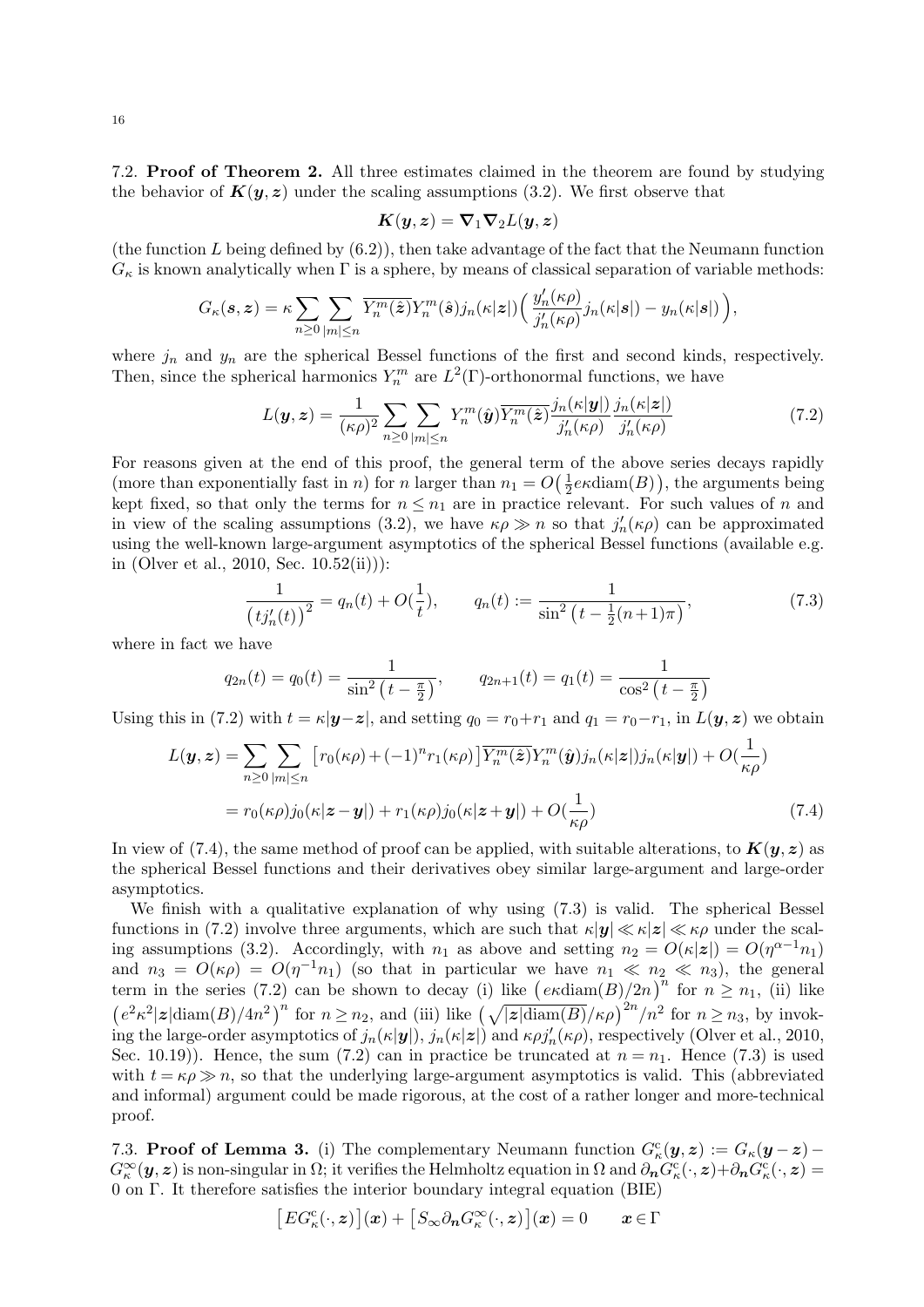7.2. Proof of Theorem 2. All three estimates claimed in the theorem are found by studying the behavior of  $K(y, z)$  under the scaling assumptions (3.2). We first observe that

$$
\boldsymbol{K}(\boldsymbol{y},\boldsymbol{z})=\boldsymbol{\nabla}_{1}\boldsymbol{\nabla}_{2}L(\boldsymbol{y},\boldsymbol{z})
$$

(the function  $L$  being defined by  $(6.2)$ ), then take advantage of the fact that the Neumann function  $G_{\kappa}$  is known analytically when  $\Gamma$  is a sphere, by means of classical separation of variable methods:

$$
G_{\kappa}(\mathbf{s},\mathbf{z})=\kappa\sum_{n\geq 0}\sum_{|m|\leq n}\overline{Y_{n}^{m}(\hat{\mathbf{z}})}Y_{n}^{m}(\hat{\mathbf{s}})j_{n}(\kappa|\mathbf{z}|)\Big(\frac{y_{n}'(\kappa\rho)}{j_{n}'(\kappa\rho)}j_{n}(\kappa|\mathbf{s}|)-y_{n}(\kappa|\mathbf{s}|)\Big),
$$

where  $j_n$  and  $y_n$  are the spherical Bessel functions of the first and second kinds, respectively. Then, since the spherical harmonics  $Y_n^m$  are  $L^2(\Gamma)$ -orthonormal functions, we have

$$
L(\mathbf{y}, \mathbf{z}) = \frac{1}{(\kappa \rho)^2} \sum_{n \ge 0} \sum_{|m| \le n} Y_n^m(\hat{\mathbf{y}}) \overline{Y_n^m(\hat{\mathbf{z}})} \frac{j_n(\kappa|\mathbf{y}|)}{j_n'(\kappa \rho)} \frac{j_n(\kappa|\mathbf{z}|)}{j_n'(\kappa \rho)} \tag{7.2}
$$

For reasons given at the end of this proof, the general term of the above series decays rapidly (more than exponentially fast in *n*) for *n* larger than  $n_1 = O(\frac{1}{2})$  $\frac{1}{2}e\kappa \text{diam}(B)$ , the arguments being kept fixed, so that only the terms for  $n \leq n_1$  are in practice relevant. For such values of n and in view of the scaling assumptions (3.2), we have  $\kappa \rho \gg n$  so that  $j'_n(\kappa \rho)$  can be approximated using the well-known large-argument asymptotics of the spherical Bessel functions (available e.g. in (Olver et al., 2010, Sec. 10.52(ii))):

$$
\frac{1}{(t j_n'(t))^{2}} = q_n(t) + O(\frac{1}{t}), \qquad q_n(t) := \frac{1}{\sin^{2}\left(t - \frac{1}{2}(n+1)\pi\right)},\tag{7.3}
$$

where in fact we have

$$
q_{2n}(t) = q_0(t) = \frac{1}{\sin^2\left(t - \frac{\pi}{2}\right)}, \qquad q_{2n+1}(t) = q_1(t) = \frac{1}{\cos^2\left(t - \frac{\pi}{2}\right)}
$$

Using this in (7.2) with  $t = \kappa |\mathbf{y} - \mathbf{z}|$ , and setting  $q_0 = r_0 + r_1$  and  $q_1 = r_0 - r_1$ , in  $L(\mathbf{y}, \mathbf{z})$  we obtain

$$
L(\mathbf{y}, \mathbf{z}) = \sum_{n \ge 0} \sum_{|m| \le n} \left[ r_0(\kappa \rho) + (-1)^n r_1(\kappa \rho) \right] \overline{Y_n^m(\hat{\mathbf{z}})} Y_n^m(\hat{\mathbf{y}}) j_n(\kappa |\mathbf{z}|) j_n(\kappa |\mathbf{y}|) + O(\frac{1}{\kappa \rho})
$$
  
=  $r_0(\kappa \rho) j_0(\kappa |\mathbf{z} - \mathbf{y}|) + r_1(\kappa \rho) j_0(\kappa |\mathbf{z} + \mathbf{y}|) + O(\frac{1}{\kappa \rho})$  (7.4)

In view of (7.4), the same method of proof can be applied, with suitable alterations, to  $K(y, z)$  as the spherical Bessel functions and their derivatives obey similar large-argument and large-order asymptotics.

We finish with a qualitative explanation of why using (7.3) is valid. The spherical Bessel functions in (7.2) involve three arguments, which are such that  $\kappa |y| \ll \kappa |z| \ll \kappa \rho$  under the scaling assumptions (3.2). Accordingly, with  $n_1$  as above and setting  $n_2 = O(\kappa |z|) = O(\eta^{\alpha-1} n_1)$ and  $n_3 = O(\kappa \rho) = O(\eta^{-1} n_1)$  (so that in particular we have  $n_1 \ll n_2 \ll n_3$ ), the general term in the series (7.2) can be shown to decay (i) like  $\left(\frac{e\kappa \text{diam}(B)}{2n}\right)^n$  for  $n \geq n_1$ , (ii) like  $\left(e^{2}\kappa^{2}|z|\text{diam}(B)/4n^{2}\right)^{n}$  for  $n \geq n_{2}$ , and (iii) like  $\left(\sqrt{|z|\text{diam}(B)}/\kappa\rho\right)^{2n}/n^{2}$  for  $n \geq n_{3}$ , by invoking the large-order asymptotics of  $j_n(\kappa|\mathbf{y}|), j_n(\kappa|\mathbf{z}|)$  and  $\kappa \rho j'_n(\kappa \rho)$ , respectively (Olver et al., 2010, Sec. 10.19). Hence, the sum (7.2) can in practice be truncated at  $n = n_1$ . Hence (7.3) is used with  $t = \kappa \rho \gg n$ , so that the underlying large-argument asymptotics is valid. This (abbreviated and informal) argument could be made rigorous, at the cost of a rather longer and more-technical proof.

7.3. Proof of Lemma 3. (i) The complementary Neumann function  $G_{\kappa}^{\rm c}(y, z) := G_{\kappa}(y - z) G_{\kappa}^{\infty}(\mathbf{y},\mathbf{z})$  is non-singular in  $\Omega$ ; it verifies the Helmholtz equation in  $\Omega$  and  $\partial_{\mathbf{n}}G_{\kappa}^{\mathrm{c}}(\cdot,\mathbf{z})+\partial_{\mathbf{n}}G_{\kappa}^{\mathrm{c}}(\cdot,\mathbf{z})=$ 0 on Γ. It therefore satisfies the interior boundary integral equation (BIE)

$$
\big[\boldsymbol{E} G_\kappa^{\mathrm{c}}(\cdot,\boldsymbol{z})\big](\boldsymbol{x}) + \big[\boldsymbol{S}_\infty \partial_{\boldsymbol{n}} G_\kappa^\infty(\cdot,\boldsymbol{z})\big](\boldsymbol{x}) = 0 \qquad \boldsymbol{x} \in \Gamma
$$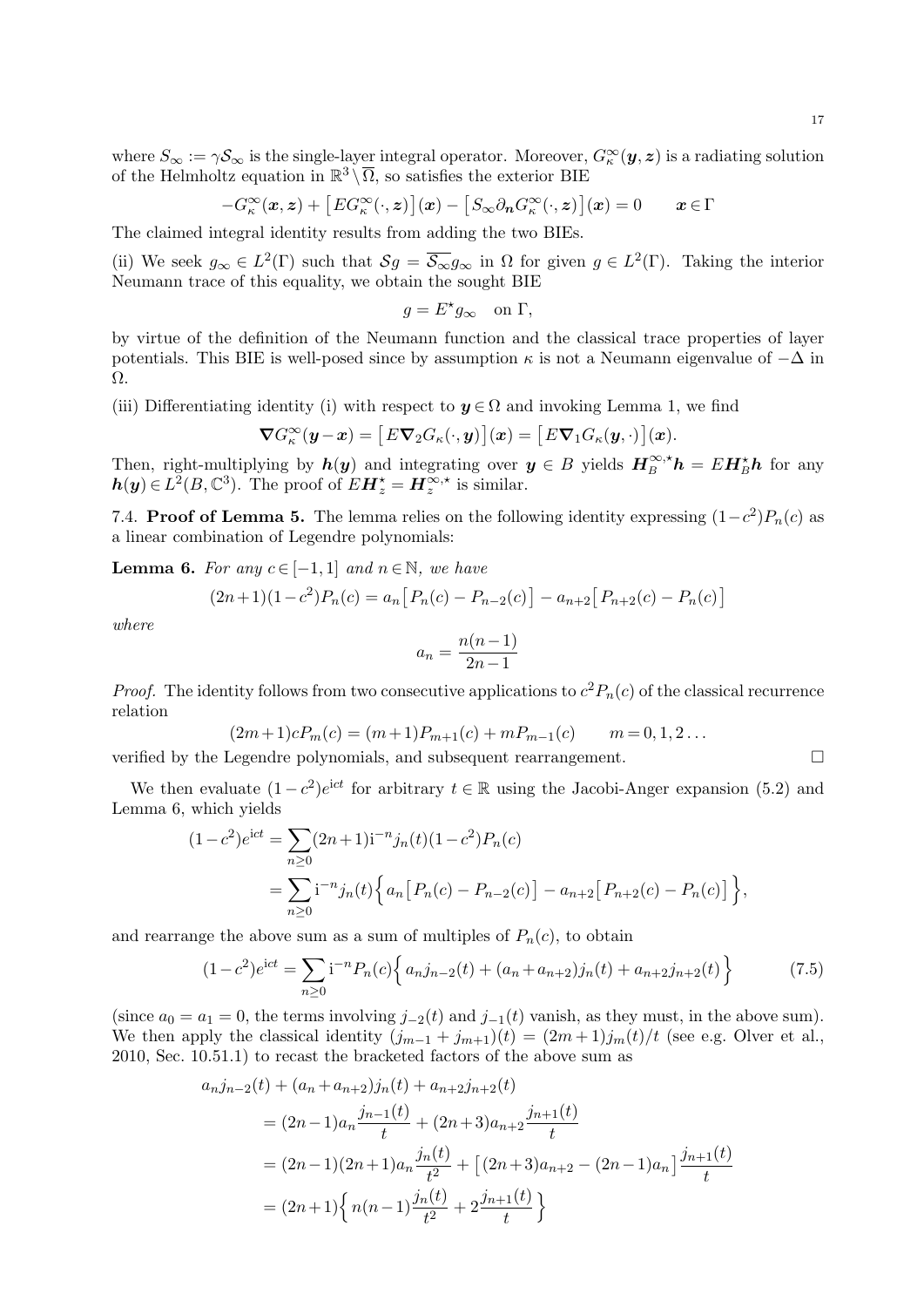where  $S_{\infty} := \gamma S_{\infty}$  is the single-layer integral operator. Moreover,  $G_{\kappa}^{\infty}(\mathbf{y}, \mathbf{z})$  is a radiating solution of the Helmholtz equation in  $\mathbb{R}^3 \setminus \overline{\Omega}$ , so satisfies the exterior BIE

$$
-G_{\kappa}^{\infty}(\boldsymbol{x},\boldsymbol{z}) + [EG_{\kappa}^{\infty}(\cdot,\boldsymbol{z})](\boldsymbol{x}) - [S_{\infty}\partial_{\boldsymbol{n}}G_{\kappa}^{\infty}(\cdot,\boldsymbol{z})](\boldsymbol{x}) = 0 \qquad \boldsymbol{x} \in \Gamma
$$

The claimed integral identity results from adding the two BIEs.

(ii) We seek  $g_{\infty} \in L^2(\Gamma)$  such that  $\mathcal{S}g = \overline{\mathcal{S}_{\infty}}g_{\infty}$  in  $\Omega$  for given  $g \in L^2(\Gamma)$ . Taking the interior Neumann trace of this equality, we obtain the sought BIE

$$
g = E^{\star} g_{\infty} \quad \text{on } \Gamma,
$$

by virtue of the definition of the Neumann function and the classical trace properties of layer potentials. This BIE is well-posed since by assumption  $\kappa$  is not a Neumann eigenvalue of  $-\Delta$  in Ω.

(iii) Differentiating identity (i) with respect to  $y \in \Omega$  and invoking Lemma 1, we find

$$
\nabla G_{\kappa}^{\infty}(\mathbf{y}-\mathbf{x}) = [E\nabla_2 G_{\kappa}(\cdot,\mathbf{y})](\mathbf{x}) = [E\nabla_1 G_{\kappa}(\mathbf{y},\cdot)](\mathbf{x}).
$$

Then, right-multiplying by  $h(y)$  and integrating over  $y \in B$  yields  $H_B^{\infty, *} h = E H_B^* h$  for any  $h(y) \in L^2(B, \mathbb{C}^3)$ . The proof of  $EH^*_{z} = H^{\infty,*}_{z}$  is similar.

7.4. **Proof of Lemma 5.** The lemma relies on the following identity expressing  $(1-c^2)P_n(c)$  as a linear combination of Legendre polynomials:

**Lemma 6.** For any  $c \in [-1, 1]$  and  $n \in \mathbb{N}$ , we have

$$
(2n+1)(1-c2)Pn(c) = an[Pn(c) - Pn-2(c)] - an+2[Pn+2(c) - Pn(c)]
$$

where

$$
a_n = \frac{n(n-1)}{2n-1}
$$

*Proof.* The identity follows from two consecutive applications to  $c^2 P_n(c)$  of the classical recurrence relation

$$
(2m+1)cP_m(c) = (m+1)P_{m+1}(c) + mP_{m-1}(c) \qquad m = 0, 1, 2 \dots
$$

verified by the Legendre polynomials, and subsequent rearrangement.

We then evaluate  $(1-c^2)e^{ict}$  for arbitrary  $t \in \mathbb{R}$  using the Jacobi-Anger expansion (5.2) and Lemma 6, which yields

$$
(1 - c2)eict = \sum_{n \ge 0} (2n + 1)i-n jn(t)(1 - c2)Pn(c)
$$
  
= 
$$
\sum_{n \ge 0} i^{-n} jn(t) \Big\{ an [ Pn(c) - Pn-2(c) ] - an+2 [ Pn+2(c) - Pn(c) ] \Big\},
$$

and rearrange the above sum as a sum of multiples of  $P_n(c)$ , to obtain

$$
(1 - c2)eict = \sum_{n \ge 0} i^{-n} P_n(c) \Big\{ a_n j_{n-2}(t) + (a_n + a_{n+2}) j_n(t) + a_{n+2} j_{n+2}(t) \Big\}
$$
(7.5)

(since  $a_0 = a_1 = 0$ , the terms involving  $j_{-2}(t)$  and  $j_{-1}(t)$  vanish, as they must, in the above sum). We then apply the classical identity  $(j_{m-1} + j_{m+1})(t) = (2m+1)j_m(t)/t$  (see e.g. Olver et al., 2010, Sec. 10.51.1) to recast the bracketed factors of the above sum as

$$
a_n j_{n-2}(t) + (a_n + a_{n+2})j_n(t) + a_{n+2} j_{n+2}(t)
$$
  
=  $(2n - 1)a_n \frac{j_{n-1}(t)}{t} + (2n + 3)a_{n+2} \frac{j_{n+1}(t)}{t}$   
=  $(2n - 1)(2n + 1)a_n \frac{j_n(t)}{t^2} + [(2n + 3)a_{n+2} - (2n - 1)a_n] \frac{j_{n+1}(t)}{t}$   
=  $(2n + 1)\left\{n(n - 1)\frac{j_n(t)}{t^2} + 2\frac{j_{n+1}(t)}{t}\right\}$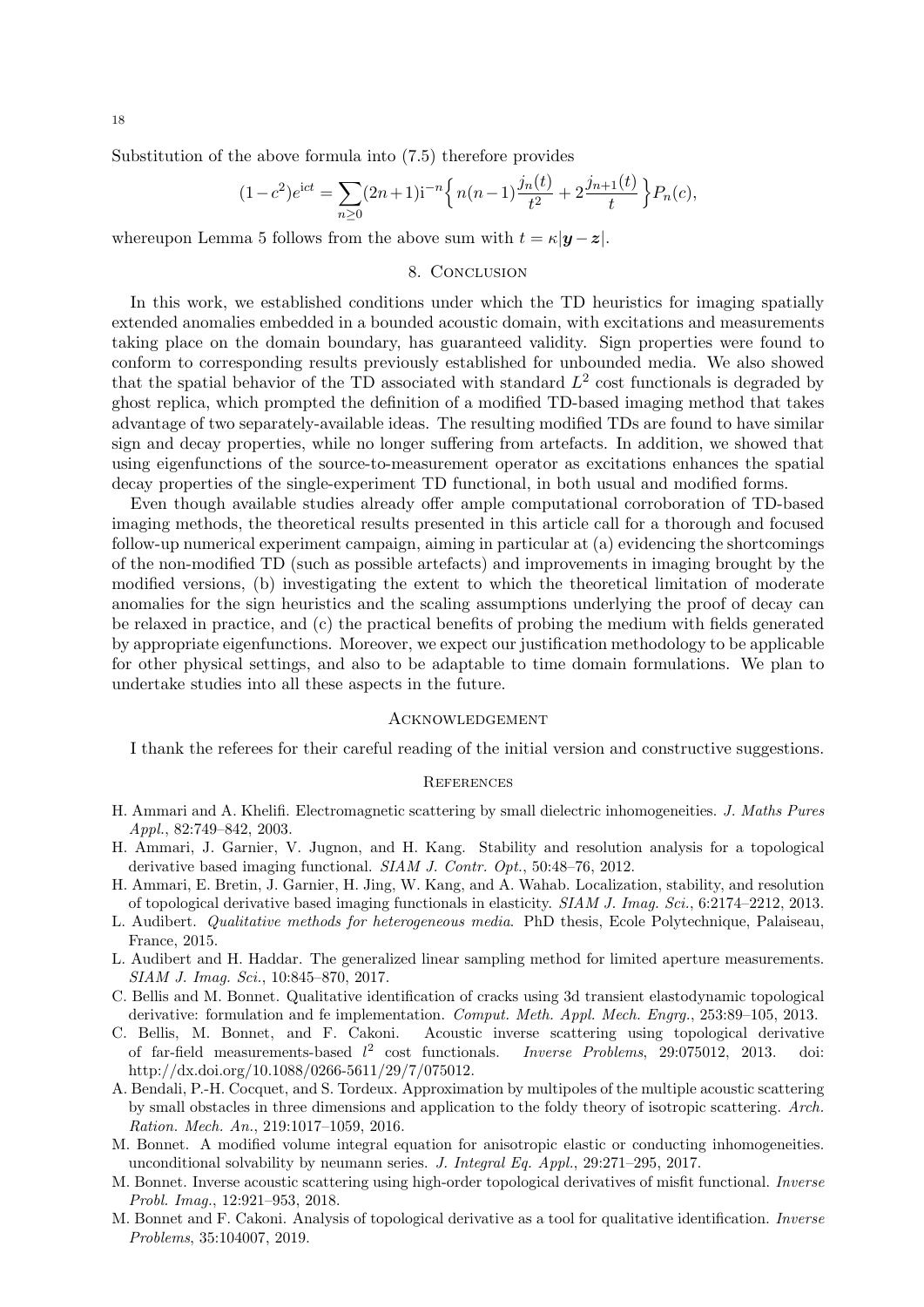Substitution of the above formula into (7.5) therefore provides

$$
(1 - c^2)e^{ict} = \sum_{n \ge 0} (2n + 1)i^{-n} \left\{ n(n-1)\frac{j_n(t)}{t^2} + 2\frac{j_{n+1}(t)}{t} \right\} P_n(c),
$$

whereupon Lemma 5 follows from the above sum with  $t = \kappa |\mathbf{y} - \mathbf{z}|$ .

## 8. CONCLUSION

In this work, we established conditions under which the TD heuristics for imaging spatially extended anomalies embedded in a bounded acoustic domain, with excitations and measurements taking place on the domain boundary, has guaranteed validity. Sign properties were found to conform to corresponding results previously established for unbounded media. We also showed that the spatial behavior of the TD associated with standard  $L^2$  cost functionals is degraded by ghost replica, which prompted the definition of a modified TD-based imaging method that takes advantage of two separately-available ideas. The resulting modified TDs are found to have similar sign and decay properties, while no longer suffering from artefacts. In addition, we showed that using eigenfunctions of the source-to-measurement operator as excitations enhances the spatial decay properties of the single-experiment TD functional, in both usual and modified forms.

Even though available studies already offer ample computational corroboration of TD-based imaging methods, the theoretical results presented in this article call for a thorough and focused follow-up numerical experiment campaign, aiming in particular at (a) evidencing the shortcomings of the non-modified TD (such as possible artefacts) and improvements in imaging brought by the modified versions, (b) investigating the extent to which the theoretical limitation of moderate anomalies for the sign heuristics and the scaling assumptions underlying the proof of decay can be relaxed in practice, and (c) the practical benefits of probing the medium with fields generated by appropriate eigenfunctions. Moreover, we expect our justification methodology to be applicable for other physical settings, and also to be adaptable to time domain formulations. We plan to undertake studies into all these aspects in the future.

### **ACKNOWLEDGEMENT**

I thank the referees for their careful reading of the initial version and constructive suggestions.

### **REFERENCES**

- H. Ammari and A. Khelifi. Electromagnetic scattering by small dielectric inhomogeneities. J. Maths Pures Appl., 82:749–842, 2003.
- H. Ammari, J. Garnier, V. Jugnon, and H. Kang. Stability and resolution analysis for a topological derivative based imaging functional. SIAM J. Contr. Opt., 50:48–76, 2012.
- H. Ammari, E. Bretin, J. Garnier, H. Jing, W. Kang, and A. Wahab. Localization, stability, and resolution of topological derivative based imaging functionals in elasticity. SIAM J. Imag. Sci., 6:2174–2212, 2013.
- L. Audibert. Qualitative methods for heterogeneous media. PhD thesis, Ecole Polytechnique, Palaiseau, France, 2015.
- L. Audibert and H. Haddar. The generalized linear sampling method for limited aperture measurements. SIAM J. Imag. Sci., 10:845–870, 2017.
- C. Bellis and M. Bonnet. Qualitative identification of cracks using 3d transient elastodynamic topological derivative: formulation and fe implementation. Comput. Meth. Appl. Mech. Engrg., 253:89–105, 2013.
- C. Bellis, M. Bonnet, and F. Cakoni. Acoustic inverse scattering using topological derivative of far-field measurements-based  $l^2$ *Inverse Problems*, 29:075012, 2013. doi: http://dx.doi.org/10.1088/0266-5611/29/7/075012.
- A. Bendali, P.-H. Cocquet, and S. Tordeux. Approximation by multipoles of the multiple acoustic scattering by small obstacles in three dimensions and application to the foldy theory of isotropic scattering. Arch. Ration. Mech. An., 219:1017–1059, 2016.
- M. Bonnet. A modified volume integral equation for anisotropic elastic or conducting inhomogeneities. unconditional solvability by neumann series. J. Integral Eq. Appl., 29:271–295, 2017.
- M. Bonnet. Inverse acoustic scattering using high-order topological derivatives of misfit functional. Inverse Probl. Imag., 12:921–953, 2018.
- M. Bonnet and F. Cakoni. Analysis of topological derivative as a tool for qualitative identification. Inverse Problems, 35:104007, 2019.